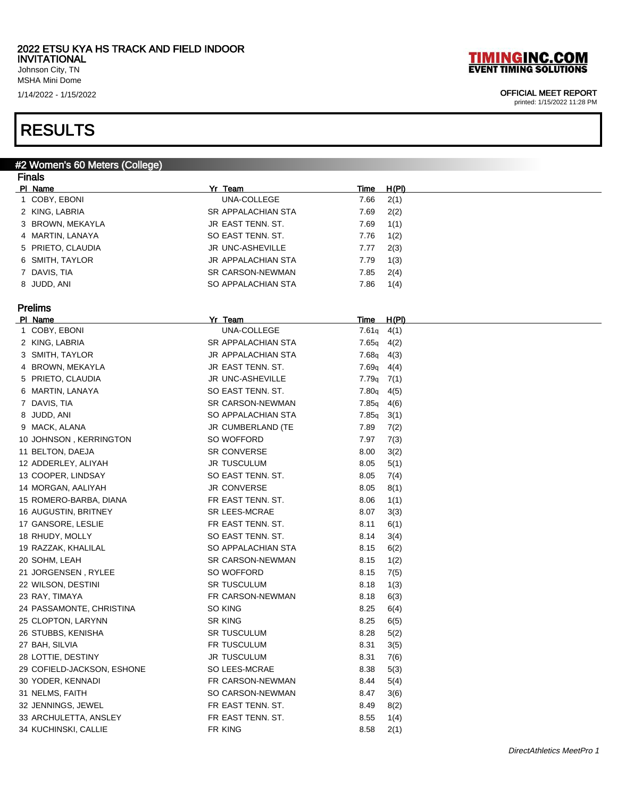Johnson City, TN MSHA Mini Dome

### RESULTS

### #2 Women's 60 Meters (College) **Finals**

| .<br>PI Name               | Yr Team            | <b>Time</b>    | <u>H(PI)</u> |
|----------------------------|--------------------|----------------|--------------|
| 1 COBY, EBONI              | UNA-COLLEGE        | 7.66           | 2(1)         |
| 2 KING, LABRIA             | SR APPALACHIAN STA | 7.69           | 2(2)         |
| 3 BROWN, MEKAYLA           | JR EAST TENN. ST.  | 7.69           | 1(1)         |
| 4 MARTIN, LANAYA           | SO EAST TENN. ST.  | 7.76           | 1(2)         |
| 5 PRIETO, CLAUDIA          | JR UNC-ASHEVILLE   | 7.77           | 2(3)         |
| 6 SMITH, TAYLOR            | JR APPALACHIAN STA | 7.79           | 1(3)         |
| 7 DAVIS, TIA               | SR CARSON-NEWMAN   | 7.85           | 2(4)         |
| 8 JUDD, ANI                | SO APPALACHIAN STA | 7.86           | 1(4)         |
|                            |                    |                |              |
| <b>Prelims</b>             |                    |                |              |
| PI Name                    | Yr Team            | <u>Time</u>    | <u>H(PI)</u> |
| 1 COBY, EBONI              | UNA-COLLEGE        | $7.61q$ 4(1)   |              |
| 2 KING, LABRIA             | SR APPALACHIAN STA | $7.65q$ 4(2)   |              |
| 3 SMITH, TAYLOR            | JR APPALACHIAN STA | $7.68q$ 4(3)   |              |
| 4 BROWN, MEKAYLA           | JR EAST TENN. ST.  | $7.69q$ 4(4)   |              |
| 5 PRIETO, CLAUDIA          | JR UNC-ASHEVILLE   | $7.79q$ $7(1)$ |              |
| 6 MARTIN, LANAYA           | SO EAST TENN. ST.  | 7.80q          | 4(5)         |
| 7 DAVIS, TIA               | SR CARSON-NEWMAN   | 7.85q          | 4(6)         |
| 8 JUDD, ANI                | SO APPALACHIAN STA | 7.85q          | 3(1)         |
| 9 MACK, ALANA              | JR CUMBERLAND (TE  | 7.89           | 7(2)         |
| 10 JOHNSON, KERRINGTON     | SO WOFFORD         | 7.97           | 7(3)         |
| 11 BELTON, DAEJA           | <b>SR CONVERSE</b> | 8.00           | 3(2)         |
| 12 ADDERLEY, ALIYAH        | JR TUSCULUM        | 8.05           | 5(1)         |
| 13 COOPER, LINDSAY         | SO EAST TENN. ST.  | 8.05           | 7(4)         |
| 14 MORGAN, AALIYAH         | JR CONVERSE        | 8.05           | 8(1)         |
| 15 ROMERO-BARBA, DIANA     | FR EAST TENN. ST.  | 8.06           | 1(1)         |
| 16 AUGUSTIN, BRITNEY       | SR LEES-MCRAE      | 8.07           | 3(3)         |
| 17 GANSORE, LESLIE         | FR EAST TENN. ST.  | 8.11           | 6(1)         |
| 18 RHUDY, MOLLY            | SO EAST TENN. ST.  | 8.14           | 3(4)         |
| 19 RAZZAK, KHALILAL        | SO APPALACHIAN STA | 8.15           | 6(2)         |
| 20 SOHM, LEAH              | SR CARSON-NEWMAN   | 8.15           | 1(2)         |
| 21 JORGENSEN, RYLEE        | SO WOFFORD         | 8.15           | 7(5)         |
| 22 WILSON, DESTINI         | SR TUSCULUM        | 8.18           | 1(3)         |
| 23 RAY, TIMAYA             | FR CARSON-NEWMAN   | 8.18           | 6(3)         |
| 24 PASSAMONTE, CHRISTINA   | SO KING            | 8.25           | 6(4)         |
| 25 CLOPTON, LARYNN         | SR KING            | 8.25           | 6(5)         |
| 26 STUBBS, KENISHA         | SR TUSCULUM        | 8.28           | 5(2)         |
| 27 BAH, SILVIA             | FR TUSCULUM        | 8.31           | 3(5)         |
| 28 LOTTIE, DESTINY         | <b>JR TUSCULUM</b> | 8.31           | 7(6)         |
| 29 COFIELD-JACKSON, ESHONE | SO LEES-MCRAE      | 8.38           | 5(3)         |
| 30 YODER, KENNADI          | FR CARSON-NEWMAN   | 8.44           | 5(4)         |
| 31 NELMS, FAITH            | SO CARSON-NEWMAN   | 8.47           | 3(6)         |
| 32 JENNINGS, JEWEL         | FR EAST TENN. ST.  | 8.49           | 8(2)         |
| 33 ARCHULETTA, ANSLEY      | FR EAST TENN. ST.  | 8.55           | 1(4)         |
| 34 KUCHINSKI, CALLIE       | FR KING            | 8.58           | 2(1)         |

# **TIMINGINC.COM**<br>EVENT TIMING SOLUTIONS

### 1/14/2022 - 1/15/2022 OFFICIAL MEET REPORT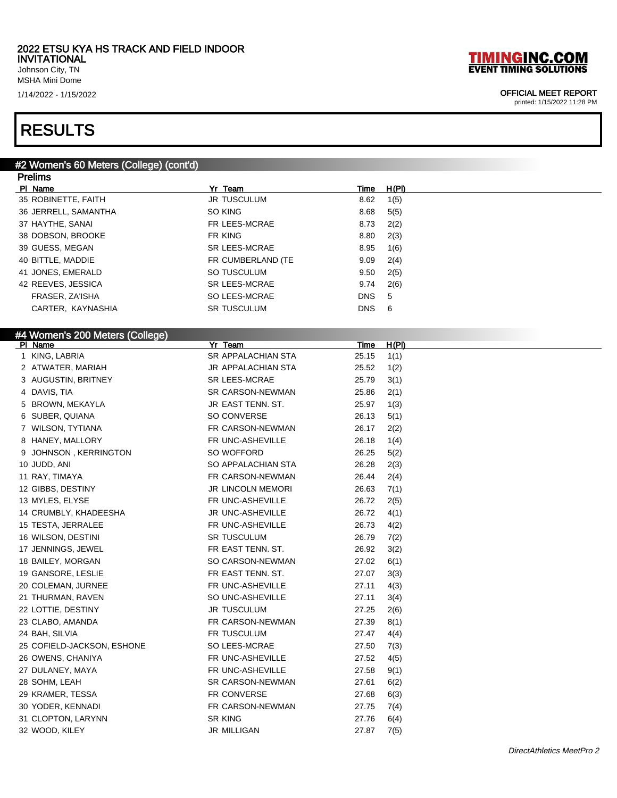Johnson City, TN MSHA Mini Dome

1/14/2022 - 1/15/2022 OFFICIAL MEET REPORT

### RESULTS

#### #2 Women's 60 Meters (College) (cont'd) **Dralims**

| LIAIIII                         |                      |             |              |
|---------------------------------|----------------------|-------------|--------------|
| PI Name                         | Yr Team              | <b>Time</b> | <u>H(PI)</u> |
| 35 ROBINETTE, FAITH             | <b>JR TUSCULUM</b>   | 8.62        | 1(5)         |
| 36 JERRELL, SAMANTHA            | SO KING              | 8.68        | 5(5)         |
| 37 HAYTHE, SANAI                | FR LEES-MCRAE        | 8.73        | 2(2)         |
| 38 DOBSON, BROOKE               | FR KING              | 8.80        | 2(3)         |
| 39 GUESS, MEGAN                 | <b>SR LEES-MCRAE</b> | 8.95        | 1(6)         |
| 40 BITTLE, MADDIE               | FR CUMBERLAND (TE    | 9.09        | 2(4)         |
| 41 JONES, EMERALD               | SO TUSCULUM          | 9.50        | 2(5)         |
| 42 REEVES, JESSICA              | <b>SR LEES-MCRAE</b> | 9.74        | 2(6)         |
| FRASER, ZA'ISHA                 | SO LEES-MCRAE        | <b>DNS</b>  | 5            |
| CARTER, KAYNASHIA               | <b>SR TUSCULUM</b>   | <b>DNS</b>  | 6            |
|                                 |                      |             |              |
| #4 Women's 200 Meters (College) |                      |             |              |
| PI Name                         | Yr Team              | <u>Time</u> | <u>H(PI)</u> |
| 1 KING, LABRIA                  | SR APPALACHIAN STA   | 25.15       | 1(1)         |
| 2 ATWATER, MARIAH               | JR APPALACHIAN STA   | 25.52       | 1(2)         |
| 3 AUGUSTIN, BRITNEY             | SR LEES-MCRAE        | 25.79       | 3(1)         |
| 4 DAVIS, TIA                    | SR CARSON-NEWMAN     | 25.86       | 2(1)         |
| 5 BROWN, MEKAYLA                | JR EAST TENN. ST.    | 25.97       | 1(3)         |
| 6 SUBER, QUIANA                 | SO CONVERSE          | 26.13       | 5(1)         |
| 7 WILSON, TYTIANA               | FR CARSON-NEWMAN     | 26.17       | 2(2)         |
| 8 HANEY, MALLORY                | FR UNC-ASHEVILLE     | 26.18       | 1(4)         |
| 9 JOHNSON, KERRINGTON           | SO WOFFORD           | 26.25       | 5(2)         |
| 10 JUDD, ANI                    | SO APPALACHIAN STA   | 26.28       | 2(3)         |
| 11 RAY, TIMAYA                  | FR CARSON-NEWMAN     | 26.44       | 2(4)         |
| 12 GIBBS, DESTINY               | JR LINCOLN MEMORI    | 26.63       | 7(1)         |
| 13 MYLES, ELYSE                 | FR UNC-ASHEVILLE     | 26.72       | 2(5)         |
| 14 CRUMBLY, KHADEESHA           | JR UNC-ASHEVILLE     | 26.72       | 4(1)         |
| 15 TESTA, JERRALEE              | FR UNC-ASHEVILLE     | 26.73       | 4(2)         |
| 16 WILSON, DESTINI              | SR TUSCULUM          | 26.79       | 7(2)         |
| 17 JENNINGS, JEWEL              | FR EAST TENN. ST.    | 26.92       | 3(2)         |
| 18 BAILEY, MORGAN               | SO CARSON-NEWMAN     | 27.02       | 6(1)         |
| 19 GANSORE, LESLIE              | FR EAST TENN. ST.    | 27.07       | 3(3)         |
| 20 COLEMAN, JURNEE              | FR UNC-ASHEVILLE     | 27.11       | 4(3)         |
| 21 THURMAN, RAVEN               | SO UNC-ASHEVILLE     | 27.11       | 3(4)         |
| 22 LOTTIE, DESTINY              | <b>JR TUSCULUM</b>   | 27.25       | 2(6)         |
| 23 CLABO, AMANDA                | FR CARSON-NEWMAN     | 27.39       | 8(1)         |
| 24 BAH, SILVIA                  | FR TUSCULUM          | 27.47       | 4(4)         |
| 25 COFIELD-JACKSON, ESHONE      | SO LEES-MCRAE        | 27.50       | 7(3)         |
| 26 OWENS, CHANIYA               | FR UNC-ASHEVILLE     | 27.52       | 4(5)         |
| 27 DULANEY, MAYA                | FR UNC-ASHEVILLE     | 27.58       | 9(1)         |
| 28 SOHM, LEAH                   | SR CARSON-NEWMAN     | 27.61       | 6(2)         |
| 29 KRAMER, TESSA                | FR CONVERSE          | 27.68       | 6(3)         |
| 30 YODER, KENNADI               | FR CARSON-NEWMAN     | 27.75       | 7(4)         |
| 31 CLOPTON, LARYNN              | SR KING              | 27.76       | 6(4)         |
| 32 WOOD, KILEY                  | <b>JR MILLIGAN</b>   | 27.87       | 7(5)         |
|                                 |                      |             |              |

DirectAthletics MeetPro 2

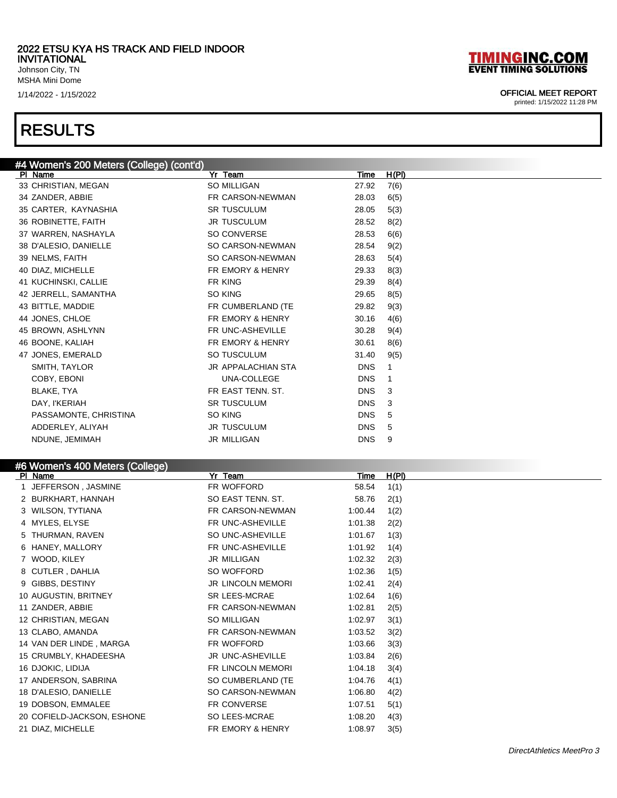Johnson City, TN MSHA Mini Dome

### RESULTS

### #4 Women's 200 Meters (College) (cont'd) Puring Time H(PI) 33 CHRISTIAN, MEGAN SO MILLIGAN SO MILLIGAN 27.92 7(6) 34 ZANDER, ABBIE FR CARSON-NEWMAN 28.03 6(5) 35 CARTER, KAYNASHIA SR TUSCULUM 28.05 5(3) 36 ROBINETTE, FAITH **JR TUSCULUM** 28.52 8(2) 37 WARREN, NASHAYLA SO CONVERSE 28.53 6(6) 38 D'ALESIO, DANIELLE SO CARSON-NEWMAN 28.54 9(2) 39 NELMS, FAITH SO CARSON-NEWMAN 28.63 5(4) 40 DIAZ, MICHELLE **FR EMORY & HENRY** 29.33 8(3)

| $\overline{ }$ $\overline{ }$ $\overline{ }$ $\overline{ }$ $\overline{ }$ $\overline{ }$ $\overline{ }$ $\overline{ }$ $\overline{ }$ $\overline{ }$ $\overline{ }$ $\overline{ }$ $\overline{ }$ $\overline{ }$ $\overline{ }$ $\overline{ }$ $\overline{ }$ $\overline{ }$ $\overline{ }$ $\overline{ }$ $\overline{ }$ $\overline{ }$ $\overline{ }$ $\overline{ }$ $\overline{ }$ $\overline{ }$ $\overline{ }$ $\overline{$ |                    | --         | $\mathsf{v}(\mathsf{v})$ |
|-----------------------------------------------------------------------------------------------------------------------------------------------------------------------------------------------------------------------------------------------------------------------------------------------------------------------------------------------------------------------------------------------------------------------------------|--------------------|------------|--------------------------|
| 41 KUCHINSKI, CALLIE                                                                                                                                                                                                                                                                                                                                                                                                              | FR KING            | 29.39      | 8(4)                     |
| 42 JERRELL, SAMANTHA                                                                                                                                                                                                                                                                                                                                                                                                              | SO KING            | 29.65      | 8(5)                     |
| 43 BITTLE, MADDIE                                                                                                                                                                                                                                                                                                                                                                                                                 | FR CUMBERLAND (TE  | 29.82      | 9(3)                     |
| 44 JONES, CHLOE                                                                                                                                                                                                                                                                                                                                                                                                                   | FR EMORY & HENRY   | 30.16      | 4(6)                     |
| 45 BROWN, ASHLYNN                                                                                                                                                                                                                                                                                                                                                                                                                 | FR UNC-ASHEVILLE   | 30.28      | 9(4)                     |
| 46 BOONE, KALIAH                                                                                                                                                                                                                                                                                                                                                                                                                  | FR EMORY & HENRY   | 30.61      | 8(6)                     |
| 47 JONES, EMERALD                                                                                                                                                                                                                                                                                                                                                                                                                 | SO TUSCULUM        | 31.40      | 9(5)                     |
| SMITH, TAYLOR                                                                                                                                                                                                                                                                                                                                                                                                                     | JR APPALACHIAN STA | <b>DNS</b> | 1                        |
| COBY, EBONI                                                                                                                                                                                                                                                                                                                                                                                                                       | UNA-COLLEGE        | <b>DNS</b> | $\mathbf 1$              |
| BLAKE, TYA                                                                                                                                                                                                                                                                                                                                                                                                                        | FR EAST TENN, ST.  | <b>DNS</b> | 3                        |
| DAY. I'KERIAH                                                                                                                                                                                                                                                                                                                                                                                                                     | <b>SR TUSCULUM</b> | <b>DNS</b> | 3                        |
| PASSAMONTE, CHRISTINA                                                                                                                                                                                                                                                                                                                                                                                                             | SO KING            | DNS.       | 5                        |
| ADDERLEY, ALIYAH                                                                                                                                                                                                                                                                                                                                                                                                                  | <b>JR TUSCULUM</b> | <b>DNS</b> | 5                        |
| NDUNE, JEMIMAH                                                                                                                                                                                                                                                                                                                                                                                                                    | <b>JR MILLIGAN</b> | <b>DNS</b> | 9                        |

### #6 Women's 400 Meters (College)

| $\frac{1}{2}$<br>PI Name   | Yr Team                     | Time    | H(PI) |
|----------------------------|-----------------------------|---------|-------|
| 1 JEFFERSON, JASMINE       | FR WOFFORD                  | 58.54   | 1(1)  |
| 2 BURKHART, HANNAH         | SO EAST TENN. ST.           | 58.76   | 2(1)  |
| 3 WILSON, TYTIANA          | FR CARSON-NEWMAN            | 1:00.44 | 1(2)  |
| 4 MYLES, ELYSE             | FR UNC-ASHEVILLE            | 1:01.38 | 2(2)  |
| 5 THURMAN, RAVEN           | SO UNC-ASHEVILLE            | 1:01.67 | 1(3)  |
| 6 HANEY, MALLORY           | FR UNC-ASHEVILLE            | 1:01.92 | 1(4)  |
| 7 WOOD, KILEY              | JR MILLIGAN                 | 1:02.32 | 2(3)  |
| 8 CUTLER, DAHLIA           | SO WOFFORD                  | 1:02.36 | 1(5)  |
| 9 GIBBS, DESTINY           | JR LINCOLN MEMORI           | 1:02.41 | 2(4)  |
| 10 AUGUSTIN, BRITNEY       | <b>SR LEES-MCRAE</b>        | 1:02.64 | 1(6)  |
| 11 ZANDER, ABBIE           | FR CARSON-NEWMAN            | 1:02.81 | 2(5)  |
| 12 CHRISTIAN, MEGAN        | SO MILLIGAN                 | 1:02.97 | 3(1)  |
| 13 CLABO, AMANDA           | FR CARSON-NEWMAN            | 1:03.52 | 3(2)  |
| 14 VAN DER LINDE, MARGA    | FR WOFFORD                  | 1:03.66 | 3(3)  |
| 15 CRUMBLY, KHADEESHA      | JR UNC-ASHEVILLE            | 1:03.84 | 2(6)  |
| 16 DJOKIC, LIDIJA          | FR LINCOLN MEMORI           | 1:04.18 | 3(4)  |
| 17 ANDERSON, SABRINA       | SO CUMBERLAND (TE           | 1:04.76 | 4(1)  |
| 18 D'ALESIO, DANIELLE      | SO CARSON-NEWMAN            | 1:06.80 | 4(2)  |
| 19 DOBSON, EMMALEE         | FR CONVERSE                 | 1:07.51 | 5(1)  |
| 20 COFIELD-JACKSON, ESHONE | SO LEES-MCRAE               | 1:08.20 | 4(3)  |
| 21 DIAZ, MICHELLE          | <b>FR EMORY &amp; HENRY</b> | 1:08.97 | 3(5)  |



### 1/14/2022 - 1/15/2022 OFFICIAL MEET REPORT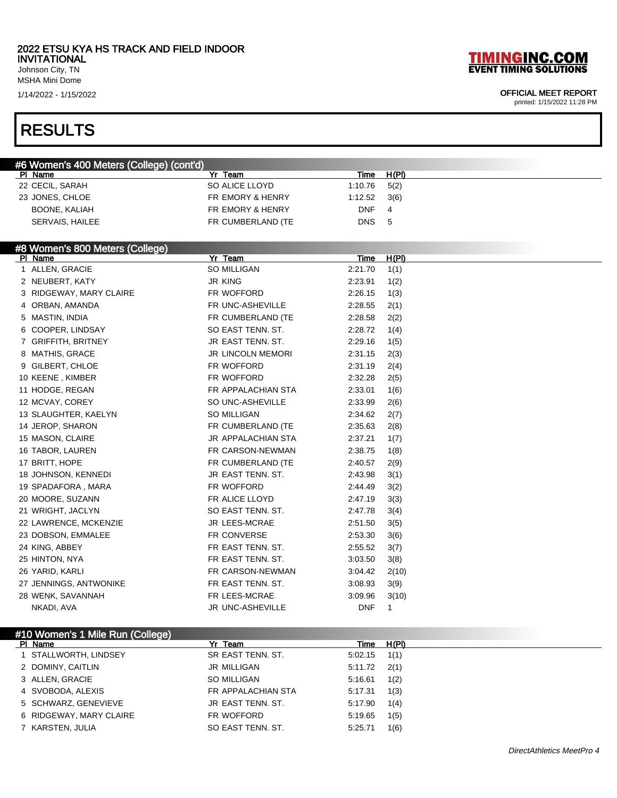Johnson City, TN MSHA Mini Dome

## RESULTS

# **TIMINGINC.COM**<br>EVENT TIMING SOLUTIONS

### 1/14/2022 - 1/15/2022 OFFICIAL MEET REPORT

| #6 Women's 400 Meters (College) (cont'd) |                           |             |              |
|------------------------------------------|---------------------------|-------------|--------------|
| PI Name                                  | Yr Team                   | Time        | H(PI)        |
| 22 CECIL, SARAH                          | SO ALICE LLOYD            | 1:10.76     | 5(2)         |
| 23 JONES, CHLOE                          | FR EMORY & HENRY          | 1:12.52     | 3(6)         |
| <b>BOONE, KALIAH</b>                     | FR EMORY & HENRY          | <b>DNF</b>  | 4            |
| SERVAIS, HAILEE                          | FR CUMBERLAND (TE         | <b>DNS</b>  | 5            |
|                                          |                           |             |              |
| #8 Women's 800 Meters (College)          |                           |             |              |
| PI Name                                  | Yr Team                   | <b>Time</b> | H(PI)        |
| 1 ALLEN, GRACIE                          | <b>SO MILLIGAN</b>        | 2:21.70     | 1(1)         |
| 2 NEUBERT, KATY                          | <b>JR KING</b>            | 2:23.91     | 1(2)         |
| 3 RIDGEWAY, MARY CLAIRE                  | FR WOFFORD                | 2:26.15     | 1(3)         |
| 4 ORBAN, AMANDA                          | FR UNC-ASHEVILLE          | 2:28.55     | 2(1)         |
| 5 MASTIN, INDIA                          | FR CUMBERLAND (TE         | 2:28.58     | 2(2)         |
| 6 COOPER, LINDSAY                        | SO EAST TENN. ST.         | 2:28.72     | 1(4)         |
| 7 GRIFFITH, BRITNEY                      | JR EAST TENN. ST.         | 2:29.16     | 1(5)         |
| 8 MATHIS, GRACE                          | <b>JR LINCOLN MEMORI</b>  | 2:31.15     | 2(3)         |
| 9 GILBERT, CHLOE                         | FR WOFFORD                | 2:31.19     | 2(4)         |
| 10 KEENE, KIMBER                         | FR WOFFORD                | 2:32.28     | 2(5)         |
| 11 HODGE, REGAN                          | FR APPALACHIAN STA        | 2:33.01     | 1(6)         |
| 12 MCVAY, COREY                          | SO UNC-ASHEVILLE          | 2:33.99     | 2(6)         |
| 13 SLAUGHTER, KAELYN                     | SO MILLIGAN               | 2:34.62     | 2(7)         |
| 14 JEROP, SHARON                         | FR CUMBERLAND (TE         | 2:35.63     | 2(8)         |
| 15 MASON, CLAIRE                         | <b>JR APPALACHIAN STA</b> | 2:37.21     | 1(7)         |
| 16 TABOR, LAUREN                         | FR CARSON-NEWMAN          | 2:38.75     | 1(8)         |
| 17 BRITT, HOPE                           | FR CUMBERLAND (TE         | 2:40.57     | 2(9)         |
| 18 JOHNSON, KENNEDI                      | JR EAST TENN. ST.         | 2:43.98     | 3(1)         |
| 19 SPADAFORA, MARA                       | FR WOFFORD                | 2:44.49     | 3(2)         |
| 20 MOORE, SUZANN                         | FR ALICE LLOYD            | 2:47.19     | 3(3)         |
| 21 WRIGHT, JACLYN                        | SO EAST TENN. ST.         | 2:47.78     | 3(4)         |
| 22 LAWRENCE, MCKENZIE                    | JR LEES-MCRAE             | 2:51.50     | 3(5)         |
| 23 DOBSON, EMMALEE                       | FR CONVERSE               | 2:53.30     | 3(6)         |
| 24 KING, ABBEY                           | FR EAST TENN. ST.         | 2:55.52     | 3(7)         |
| 25 HINTON, NYA                           | FR EAST TENN. ST.         | 3:03.50     | 3(8)         |
| 26 YARID, KARLI                          | FR CARSON-NEWMAN          | 3:04.42     | 2(10)        |
| 27 JENNINGS, ANTWONIKE                   | FR EAST TENN. ST.         | 3:08.93     | 3(9)         |
| 28 WENK, SAVANNAH                        | FR LEES-MCRAE             | 3:09.96     | 3(10)        |
| NKADI, AVA                               | JR UNC-ASHEVILLE          | <b>DNF</b>  | $\mathbf{1}$ |
|                                          |                           |             |              |

| #10 Women's 1 Mile Run (College) |                    |         |       |  |  |
|----------------------------------|--------------------|---------|-------|--|--|
| PI Name                          | Yr Team            | Time    | H(PI) |  |  |
| 1 STALLWORTH, LINDSEY            | SR EAST TENN, ST.  | 5:02.15 | 1(1)  |  |  |
| 2 DOMINY, CAITLIN                | <b>JR MILLIGAN</b> | 5:11.72 | 2(1)  |  |  |
| 3 ALLEN, GRACIE                  | SO MILLIGAN        | 5:16.61 | 1(2)  |  |  |
| 4 SVOBODA, ALEXIS                | FR APPALACHIAN STA | 5:17.31 | 1(3)  |  |  |
| 5 SCHWARZ, GENEVIEVE             | JR EAST TENN, ST.  | 5:17.90 | 1(4)  |  |  |
| 6 RIDGEWAY, MARY CLAIRE          | FR WOFFORD         | 5:19.65 | 1(5)  |  |  |
| 7 KARSTEN, JULIA                 | SO EAST TENN, ST.  | 5:25.71 | 1(6)  |  |  |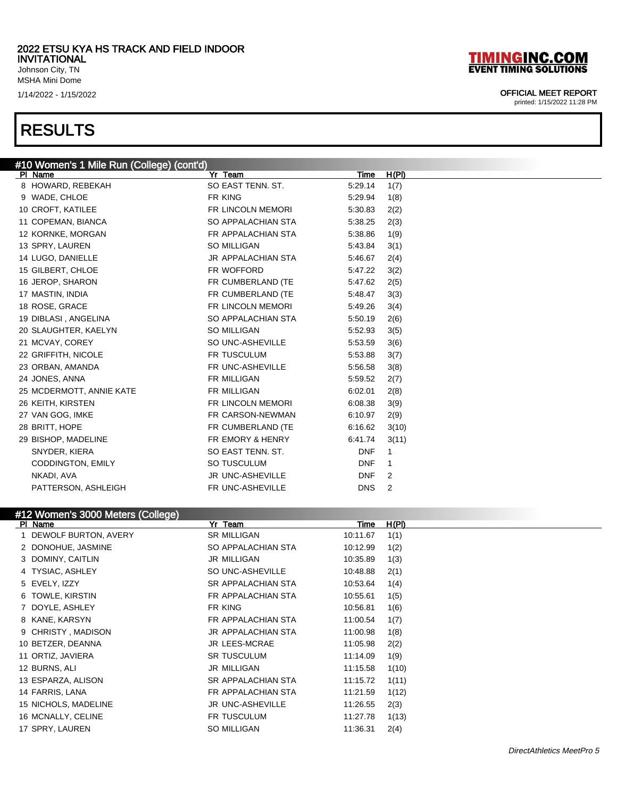Johnson City, TN MSHA Mini Dome

### RESULTS

# **TIMINGINC.COM**<br>EVENT TIMING SOLUTIONS

### 1/14/2022 - 1/15/2022 OFFICIAL MEET REPORT

| #10 Women's 1 Mile Run (College) (cont'd) |                    |             |       |
|-------------------------------------------|--------------------|-------------|-------|
| PI Name                                   | Yr Team            | <u>Time</u> | H(PI) |
| 8 HOWARD, REBEKAH                         | SO EAST TENN. ST.  | 5:29.14     | 1(7)  |
| 9 WADE, CHLOE                             | FR KING            | 5:29.94     | 1(8)  |
| 10 CROFT, KATILEE                         | FR LINCOLN MEMORI  | 5:30.83     | 2(2)  |
| 11 COPEMAN, BIANCA                        | SO APPALACHIAN STA | 5:38.25     | 2(3)  |
| 12 KORNKE, MORGAN                         | FR APPALACHIAN STA | 5:38.86     | 1(9)  |
| 13 SPRY, LAUREN                           | SO MILLIGAN        | 5:43.84     | 3(1)  |
| 14 LUGO, DANIELLE                         | JR APPALACHIAN STA | 5:46.67     | 2(4)  |
| 15 GILBERT, CHLOE                         | FR WOFFORD         | 5:47.22     | 3(2)  |
| 16 JEROP, SHARON                          | FR CUMBERLAND (TE  | 5:47.62     | 2(5)  |
| 17 MASTIN, INDIA                          | FR CUMBERLAND (TE  | 5:48.47     | 3(3)  |
| 18 ROSE, GRACE                            | FR LINCOLN MEMORI  | 5:49.26     | 3(4)  |
| 19 DIBLASI, ANGELINA                      | SO APPALACHIAN STA | 5:50.19     | 2(6)  |
| 20 SLAUGHTER, KAELYN                      | SO MILLIGAN        | 5:52.93     | 3(5)  |
| 21 MCVAY, COREY                           | SO UNC-ASHEVILLE   | 5:53.59     | 3(6)  |
| 22 GRIFFITH, NICOLE                       | FR TUSCULUM        | 5:53.88     | 3(7)  |
| 23 ORBAN, AMANDA                          | FR UNC-ASHEVILLE   | 5:56.58     | 3(8)  |
| 24 JONES, ANNA                            | FR MILLIGAN        | 5:59.52     | 2(7)  |
| 25 MCDERMOTT, ANNIE KATE                  | FR MILLIGAN        | 6:02.01     | 2(8)  |
| 26 KEITH, KIRSTEN                         | FR LINCOLN MEMORI  | 6:08.38     | 3(9)  |
| 27 VAN GOG, IMKE                          | FR CARSON-NEWMAN   | 6:10.97     |       |
| 28 BRITT, HOPE                            |                    |             | 2(9)  |
|                                           | FR CUMBERLAND (TE  | 6:16.62     | 3(10) |
| 29 BISHOP, MADELINE                       | FR EMORY & HENRY   | 6:41.74     | 3(11) |
| SNYDER, KIERA                             | SO EAST TENN. ST.  | <b>DNF</b>  | 1     |
| CODDINGTON, EMILY                         | SO TUSCULUM        | <b>DNF</b>  | 1     |
| NKADI, AVA                                | JR UNC-ASHEVILLE   | <b>DNF</b>  | 2     |
| PATTERSON, ASHLEIGH                       | FR UNC-ASHEVILLE   | <b>DNS</b>  | 2     |
|                                           |                    |             |       |
| #12 Women's 3000 Meters (College)         |                    |             |       |
| PI Name                                   | Yr Team            | <u>Time</u> | H(PI) |
| 1 DEWOLF BURTON, AVERY                    | <b>SR MILLIGAN</b> | 10:11.67    | 1(1)  |
| 2 DONOHUE, JASMINE                        | SO APPALACHIAN STA | 10:12.99    | 1(2)  |
| 3 DOMINY, CAITLIN                         | JR MILLIGAN        | 10:35.89    | 1(3)  |
| 4 TYSIAC, ASHLEY                          | SO UNC-ASHEVILLE   | 10:48.88    | 2(1)  |
| 5 EVELY, IZZY                             | SR APPALACHIAN STA | 10:53.64    | 1(4)  |
| 6 TOWLE, KIRSTIN                          | FR APPALACHIAN STA | 10:55.61    | 1(5)  |
| 7 DOYLE, ASHLEY                           | FR KING            | 10:56.81    | 1(6)  |
| 8 KANE, KARSYN                            | FR APPALACHIAN STA | 11:00.54    | 1(7)  |
| 9 CHRISTY, MADISON                        | JR APPALACHIAN STA | 11:00.98    | 1(8)  |
| 10 BETZER, DEANNA                         | JR LEES-MCRAE      | 11:05.98    | 2(2)  |
| 11 ORTIZ, JAVIERA                         | <b>SR TUSCULUM</b> | 11:14.09    | 1(9)  |
| 12 BURNS, ALI                             | JR MILLIGAN        | 11:15.58    | 1(10) |
| 13 ESPARZA, ALISON                        | SR APPALACHIAN STA | 11:15.72    | 1(11) |
| 14 FARRIS, LANA                           | FR APPALACHIAN STA | 11:21.59    | 1(12) |
| 15 NICHOLS, MADELINE                      | JR UNC-ASHEVILLE   | 11:26.55    | 2(3)  |
| 16 MCNALLY, CELINE                        | FR TUSCULUM        | 11:27.78    | 1(13) |
| 17 SPRY, LAUREN                           | SO MILLIGAN        | 11:36.31    | 2(4)  |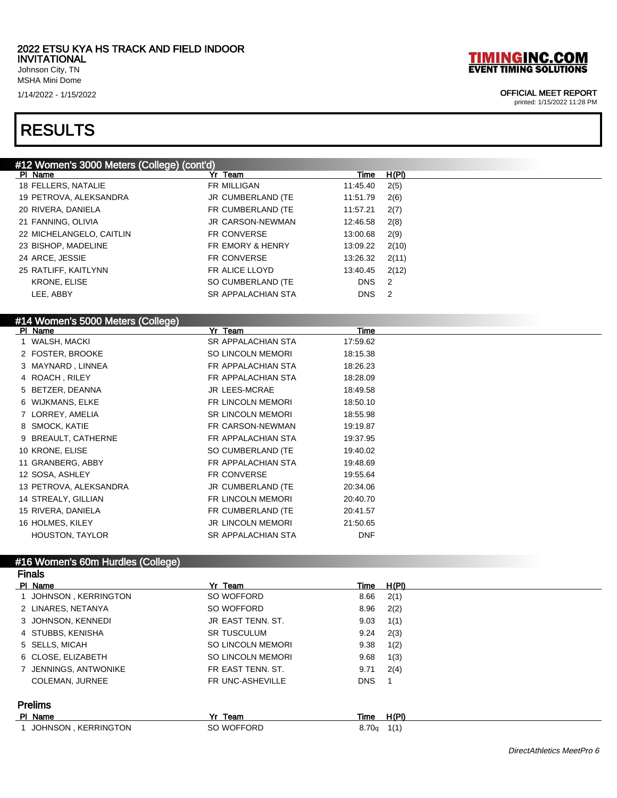Johnson City, TN MSHA Mini Dome

### RESULTS

### #12 Women's 3000 Meters (College) (cont'd)

| PI Name                  | Yr Team                     | Time       | H(PI)                      |
|--------------------------|-----------------------------|------------|----------------------------|
| 18 FELLERS, NATALIE      | FR MILLIGAN                 | 11:45.40   | 2(5)                       |
| 19 PETROVA, ALEKSANDRA   | JR CUMBERLAND (TE           | 11:51.79   | 2(6)                       |
| 20 RIVERA, DANIELA       | FR CUMBERLAND (TE           | 11:57.21   | 2(7)                       |
| 21 FANNING, OLIVIA       | <b>JR CARSON-NEWMAN</b>     | 12:46.58   | 2(8)                       |
| 22 MICHELANGELO, CAITLIN | <b>FR CONVERSE</b>          | 13:00.68   | 2(9)                       |
| 23 BISHOP, MADELINE      | <b>FR EMORY &amp; HENRY</b> | 13:09.22   | 2(10)                      |
| 24 ARCE, JESSIE          | <b>FR CONVERSE</b>          | 13:26.32   | 2(11)                      |
| 25 RATLIFF, KAITLYNN     | FR ALICE LLOYD              | 13:40.45   | 2(12)                      |
| <b>KRONE, ELISE</b>      | SO CUMBERLAND (TE           | <b>DNS</b> | $\overline{\phantom{0}}^2$ |
| LEE. ABBY                | <b>SR APPALACHIAN STA</b>   | <b>DNS</b> | $\overline{\phantom{0}}^2$ |
|                          |                             |            |                            |

### #14 Women's 5000 Meters (College)

| PI Name                | Yr Team                   | Time       |  |
|------------------------|---------------------------|------------|--|
| 1 WALSH, MACKI         | <b>SR APPALACHIAN STA</b> | 17:59.62   |  |
| 2 FOSTER, BROOKE       | <b>SO LINCOLN MEMORI</b>  | 18:15.38   |  |
| 3 MAYNARD, LINNEA      | FR APPALACHIAN STA        | 18:26.23   |  |
| 4 ROACH, RILEY         | FR APPALACHIAN STA        | 18:28.09   |  |
| 5 BETZER, DEANNA       | <b>JR LEES-MCRAE</b>      | 18:49.58   |  |
| 6 WIJKMANS, ELKE       | FR LINCOLN MEMORI         | 18:50.10   |  |
| 7 LORREY, AMELIA       | <b>SR LINCOLN MEMORI</b>  | 18:55.98   |  |
| 8 SMOCK, KATIE         | FR CARSON-NEWMAN          | 19:19.87   |  |
| 9 BREAULT, CATHERNE    | FR APPALACHIAN STA        | 19:37.95   |  |
| 10 KRONE, ELISE        | SO CUMBERLAND (TE         | 19:40.02   |  |
| 11 GRANBERG, ABBY      | FR APPALACHIAN STA        | 19:48.69   |  |
| 12 SOSA, ASHLEY        | <b>FR CONVERSE</b>        | 19:55.64   |  |
| 13 PETROVA, ALEKSANDRA | JR CUMBERLAND (TE         | 20:34.06   |  |
| 14 STREALY, GILLIAN    | FR LINCOLN MEMORI         | 20:40.70   |  |
| 15 RIVERA, DANIELA     | FR CUMBERLAND (TE         | 20:41.57   |  |
| 16 HOLMES, KILEY       | <b>JR LINCOLN MEMORI</b>  | 21:50.65   |  |
| <b>HOUSTON, TAYLOR</b> | <b>SR APPALACHIAN STA</b> | <b>DNF</b> |  |

#### #16 Women's 60m Hurdles (College) Finals

| טואווי                |                          |                   |       |  |  |
|-----------------------|--------------------------|-------------------|-------|--|--|
| PI Name               | Yr Team                  | Time              | H(PI) |  |  |
| 1 JOHNSON KERRINGTON  | SO WOFFORD               | 8.66              | 2(1)  |  |  |
| 2 LINARES, NETANYA    | SO WOFFORD               | 8.96              | 2(2)  |  |  |
| 3 JOHNSON, KENNEDI    | JR EAST TENN, ST.        | 9.03              | 1(1)  |  |  |
| 4 STUBBS, KENISHA     | <b>SR TUSCULUM</b>       | 9.24              | 2(3)  |  |  |
| 5 SELLS, MICAH        | <b>SO LINCOLN MEMORI</b> | 9.38              | 1(2)  |  |  |
| 6 CLOSE, ELIZABETH    | <b>SO LINCOLN MEMORI</b> | 9.68              | 1(3)  |  |  |
| 7 JENNINGS, ANTWONIKE | FR EAST TENN, ST.        | 9.71              | 2(4)  |  |  |
| COLEMAN, JURNEE       | FR UNC-ASHEVILLE         | <b>DNS</b>        |       |  |  |
| <b>Prelims</b>        |                          |                   |       |  |  |
| PI Name               | Yr Team                  | Time              | H(PI) |  |  |
| JOHNSON, KERRINGTON   | SO WOFFORD               | 8.70 <sub>g</sub> | 1(1)  |  |  |



### 1/14/2022 - 1/15/2022 OFFICIAL MEET REPORT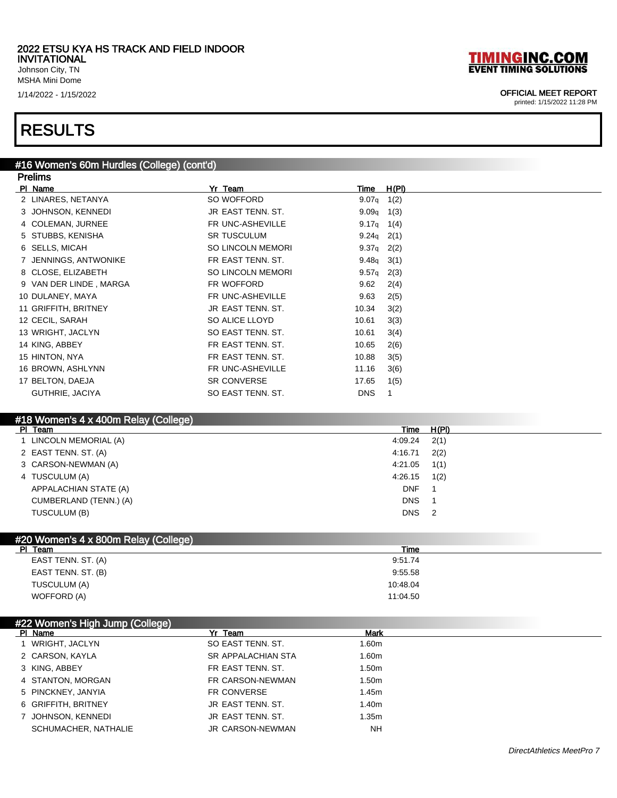Johnson City, TN MSHA Mini Dome

### RESULTS

#### #16 Women's 60m Hurdles (College) (cont'd) **Dralims**

| гісшір                 |                          |                    |       |
|------------------------|--------------------------|--------------------|-------|
| PI Name                | Yr Team                  | <b>Time</b>        | H(PI) |
| 2 LINARES, NETANYA     | SO WOFFORD               | 9.07 <sub>q</sub>  | 1(2)  |
| 3 JOHNSON, KENNEDI     | JR EAST TENN. ST.        | 9.09q              | 1(3)  |
| 4 COLEMAN, JURNEE      | FR UNC-ASHEVILLE         | $9.17q \quad 1(4)$ |       |
| 5 STUBBS, KENISHA      | <b>SR TUSCULUM</b>       | 9.24 $q$ 2(1)      |       |
| 6 SELLS, MICAH         | <b>SO LINCOLN MEMORI</b> | $9.37q$ 2(2)       |       |
| 7 JENNINGS, ANTWONIKE  | FR EAST TENN, ST.        | $9.48q$ 3(1)       |       |
| 8 CLOSE, ELIZABETH     | <b>SO LINCOLN MEMORI</b> | $9.57q$ 2(3)       |       |
| 9 VAN DER LINDE, MARGA | FR WOFFORD               | 9.62               | 2(4)  |
| 10 DULANEY, MAYA       | FR UNC-ASHEVILLE         | 9.63               | 2(5)  |
| 11 GRIFFITH, BRITNEY   | JR EAST TENN, ST.        | 10.34              | 3(2)  |
| 12 CECIL, SARAH        | SO ALICE LLOYD           | 10.61              | 3(3)  |
| 13 WRIGHT, JACLYN      | SO EAST TENN, ST.        | 10.61              | 3(4)  |
| 14 KING, ABBEY         | FR EAST TENN, ST.        | 10.65              | 2(6)  |
| 15 HINTON, NYA         | FR EAST TENN, ST.        | 10.88              | 3(5)  |
| 16 BROWN, ASHLYNN      | FR UNC-ASHEVILLE         | 11.16              | 3(6)  |
| 17 BELTON, DAEJA       | <b>SR CONVERSE</b>       | 17.65              | 1(5)  |
| GUTHRIE, JACIYA        | SO EAST TENN, ST.        | <b>DNS</b>         |       |
|                        |                          |                    |       |

### #18 Women's 4 x 400m Relay (College)

| PI Team<br>H(PI)<br>Time                |  |
|-----------------------------------------|--|
| 2(1)<br>LINCOLN MEMORIAL (A)<br>4:09.24 |  |
| 2 EAST TENN. ST. (A)<br>2(2)<br>4:16.71 |  |
| 3 CARSON-NEWMAN (A)<br>1(1)<br>4:21.05  |  |
| 1(2)<br>4:26.15<br>4 TUSCULUM (A)       |  |
| <b>DNF</b><br>APPALACHIAN STATE (A)     |  |
| <b>DNS</b><br>CUMBERLAND (TENN.) (A)    |  |
| <b>DNS</b><br>TUSCULUM (B)<br>-2        |  |

| Time     |  |
|----------|--|
| 9:51.74  |  |
| 9:55.58  |  |
| 10:48.04 |  |
| 11:04.50 |  |
|          |  |

### #22 Women's High Jump (College)

| PI Name              | Yr Team                 | <b>Mark</b>       |  |
|----------------------|-------------------------|-------------------|--|
| WRIGHT, JACLYN       | SO EAST TENN, ST.       | 1.60m             |  |
| 2 CARSON, KAYLA      | SR APPALACHIAN STA      | 1.60m             |  |
| 3 KING, ABBEY        | FR EAST TENN, ST.       | 1.50 <sub>m</sub> |  |
| 4 STANTON, MORGAN    | FR CARSON-NEWMAN        | 1.50m             |  |
| 5 PINCKNEY, JANYIA   | FR CONVERSE             | 1.45m             |  |
| 6 GRIFFITH, BRITNEY  | JR EAST TENN, ST.       | 1.40 <sub>m</sub> |  |
| 7 JOHNSON, KENNEDI   | JR EAST TENN, ST.       | 1.35m             |  |
| SCHUMACHER, NATHALIE | <b>JR CARSON-NEWMAN</b> | <b>NH</b>         |  |

### 1/14/2022 - 1/15/2022 OFFICIAL MEET REPORT

**TIMINGINC.COM**<br>EVENT TIMING SOLUTIONS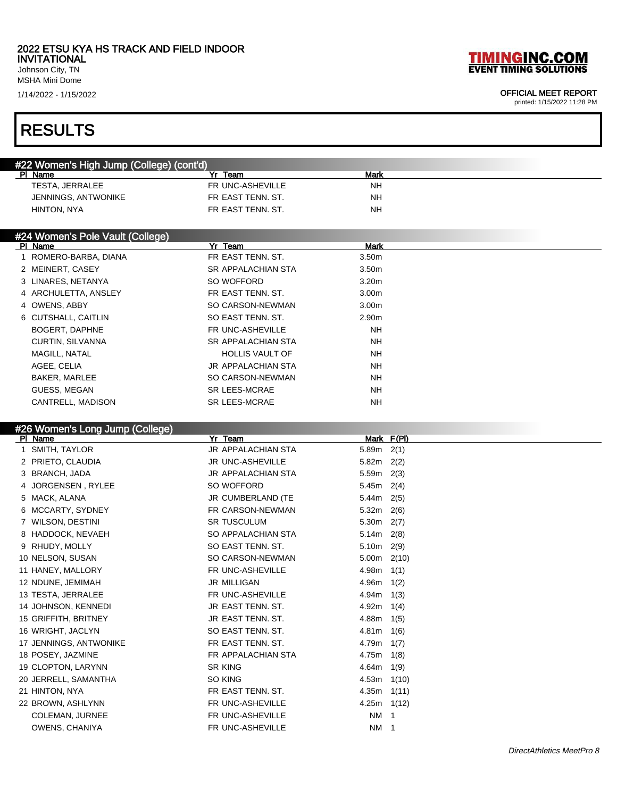Johnson City, TN MSHA Mini Dome

### RESULTS

| #22 Women's High Jump (College) (cont'd)<br>PI Name | Team              | Mark      |  |
|-----------------------------------------------------|-------------------|-----------|--|
| TESTA, JERRALEE                                     | FR UNC-ASHEVILLE  | <b>NH</b> |  |
| JENNINGS, ANTWONIKE                                 | FR EAST TENN, ST. | <b>NH</b> |  |
| HINTON, NYA                                         | FR EAST TENN, ST. | NΗ        |  |

### #24 Women's Pole Vault (College)

| PI Name                 | Yr Team                   | Mark              |
|-------------------------|---------------------------|-------------------|
| 1 ROMERO-BARBA, DIANA   | FR EAST TENN, ST.         | 3.50m             |
| 2 MEINERT, CASEY        | <b>SR APPALACHIAN STA</b> | 3.50m             |
| 3 LINARES, NETANYA      | SO WOFFORD                | 3.20 <sub>m</sub> |
| 4 ARCHULETTA, ANSLEY    | FR EAST TENN, ST.         | 3.00 <sub>m</sub> |
| 4 OWENS, ABBY           | SO CARSON-NEWMAN          | 3.00 <sub>m</sub> |
| 6 CUTSHALL, CAITLIN     | SO EAST TENN, ST.         | 2.90m             |
| <b>BOGERT, DAPHNE</b>   | FR UNC-ASHEVILLE          | NH.               |
| <b>CURTIN, SILVANNA</b> | <b>SR APPALACHIAN STA</b> | <b>NH</b>         |
| MAGILL, NATAL           | <b>HOLLIS VAULT OF</b>    | <b>NH</b>         |
| AGEE, CELIA             | JR APPALACHIAN STA        | NH.               |
| <b>BAKER, MARLEE</b>    | SO CARSON-NEWMAN          | <b>NH</b>         |
| GUESS, MEGAN            | <b>SR LEES-MCRAE</b>      | <b>NH</b>         |
| CANTRELL, MADISON       | <b>SR LEES-MCRAE</b>      | <b>NH</b>         |

### #26 Women's Long Jump (College)

| PI Name                   | Yr<br>Team                | Mark F(PI)      |
|---------------------------|---------------------------|-----------------|
| SMITH, TAYLOR             | <b>JR APPALACHIAN STA</b> | 5.89m<br>2(1)   |
| 2 PRIETO, CLAUDIA         | <b>JR UNC-ASHEVILLE</b>   | 5.82m<br>2(2)   |
| <b>BRANCH, JADA</b><br>3. | <b>JR APPALACHIAN STA</b> | 5.59m<br>2(3)   |
| JORGENSEN, RYLEE          | SO WOFFORD                | 5.45m<br>2(4)   |
| MACK, ALANA<br>5          | JR CUMBERLAND (TE         | 5.44m<br>2(5)   |
| MCCARTY, SYDNEY           | FR CARSON-NEWMAN          | 5.32m<br>2(6)   |
| <b>WILSON, DESTINI</b>    | <b>SR TUSCULUM</b>        | 5.30m<br>2(7)   |
| 8 HADDOCK, NEVAEH         | SO APPALACHIAN STA        | 5.14m<br>2(8)   |
| 9 RHUDY, MOLLY            | SO EAST TENN, ST.         | 5.10m<br>2(9)   |
| 10 NELSON, SUSAN          | SO CARSON-NEWMAN          | 5.00m<br>2(10)  |
| 11 HANEY, MALLORY         | FR UNC-ASHEVILLE          | 4.98m<br>1(1)   |
| 12 NDUNE, JEMIMAH         | <b>JR MILLIGAN</b>        | 4.96m<br>1(2)   |
| 13 TESTA, JERRALEE        | FR UNC-ASHEVILLE          | 4.94m<br>1(3)   |
| 14 JOHNSON, KENNEDI       | JR EAST TENN, ST.         | 4.92m<br>1(4)   |
| 15 GRIFFITH, BRITNEY      | JR EAST TENN, ST.         | 4.88m<br>1(5)   |
| 16 WRIGHT, JACLYN         | SO EAST TENN, ST.         | 4.81m<br>1(6)   |
| 17 JENNINGS, ANTWONIKE    | FR EAST TENN, ST.         | 4.79m<br>1(7)   |
| 18 POSEY, JAZMINE         | FR APPALACHIAN STA        | 4.75m<br>1(8)   |
| 19 CLOPTON, LARYNN        | <b>SR KING</b>            | 4.64m<br>1(9)   |
| 20 JERRELL, SAMANTHA      | SO KING                   | 4.53m<br>1(10)  |
| 21 HINTON, NYA            | FR EAST TENN, ST.         | 4.35m<br>1(11)  |
| 22 BROWN, ASHLYNN         | FR UNC-ASHEVILLE          | $4.25m$ $1(12)$ |
| <b>COLEMAN, JURNEE</b>    | FR UNC-ASHEVILLE          | NM 1            |
| OWENS, CHANIYA            | FR UNC-ASHEVILLE          | NM 1            |
|                           |                           |                 |

**TIMINGINC.COM**<br>EVENT TIMING SOLUTIONS

### 1/14/2022 - 1/15/2022 OFFICIAL MEET REPORT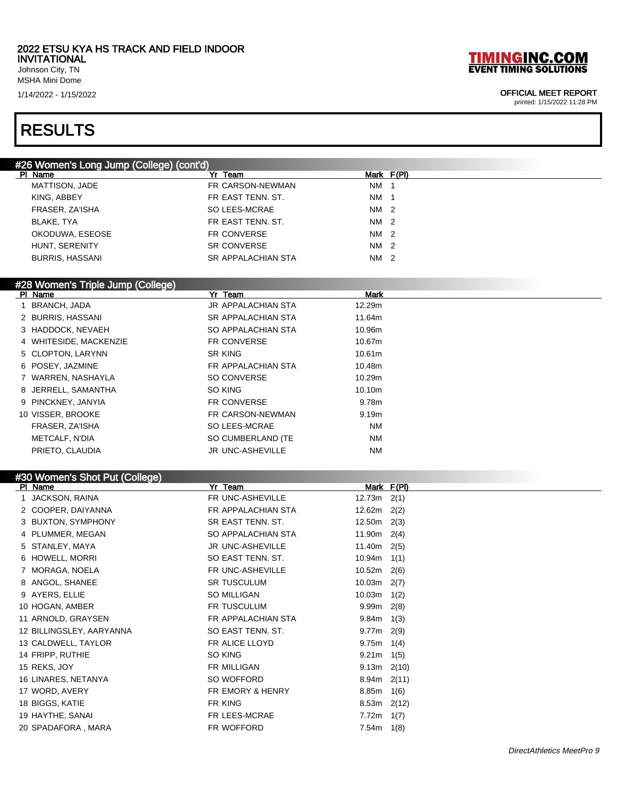Johnson City, TN MSHA Mini Dome

### RESULTS

### #26 Women's Long Jump (College) (cont'd)

| PI Name                | Yr Team            |                 | Mark F(PI) |
|------------------------|--------------------|-----------------|------------|
| MATTISON, JADE         | FR CARSON-NEWMAN   | <b>NM</b>       |            |
| KING, ABBEY            | FR EAST TENN, ST.  | NM 1            |            |
| FRASER, ZA'ISHA        | SO LEES-MCRAE      | NM <sub>2</sub> |            |
| BLAKE. TYA             | FR EAST TENN, ST.  | NM <sub>2</sub> |            |
| OKODUWA, ESEOSE        | FR CONVERSE        | NM 2            |            |
| HUNT, SERENITY         | <b>SR CONVERSE</b> | NM 2            |            |
| <b>BURRIS, HASSANI</b> | SR APPALACHIAN STA | NM 2            |            |

### #28 Women's Triple Jump (College)

|                        | Yr Team                   | <b>Mark</b>        |  |
|------------------------|---------------------------|--------------------|--|
| BRANCH, JADA           | <b>JR APPALACHIAN STA</b> | 12.29m             |  |
| 2 BURRIS, HASSANI      | <b>SR APPALACHIAN STA</b> | 11.64m             |  |
| 3 HADDOCK, NEVAEH      | SO APPALACHIAN STA        | 10.96m             |  |
| 4 WHITESIDE, MACKENZIE | FR CONVERSE               | 10.67m             |  |
| 5 CLOPTON, LARYNN      | SR KING                   | 10.61 <sub>m</sub> |  |
| 6 POSEY, JAZMINE       | FR APPALACHIAN STA        | 10.48m             |  |
| 7 WARREN, NASHAYLA     | SO CONVERSE               | 10.29m             |  |
| 8 JERRELL, SAMANTHA    | SO KING                   | 10.10m             |  |
| 9 PINCKNEY, JANYIA     | FR CONVERSE               | 9.78m              |  |
| 10 VISSER, BROOKE      | FR CARSON-NEWMAN          | 9.19 <sub>m</sub>  |  |
| FRASER, ZA'ISHA        | SO LEES-MCRAE             | <b>NM</b>          |  |
| METCALF, N'DIA         | SO CUMBERLAND (TE         | <b>NM</b>          |  |
| PRIETO, CLAUDIA        | <b>JR UNC-ASHEVILLE</b>   | <b>NM</b>          |  |
|                        |                           |                    |  |

### #30 Women's Shot Put (College)

# **TIMINGINC.COM**<br>EVENT TIMING SOLUTIONS

### 1/14/2022 - 1/15/2022 OFFICIAL MEET REPORT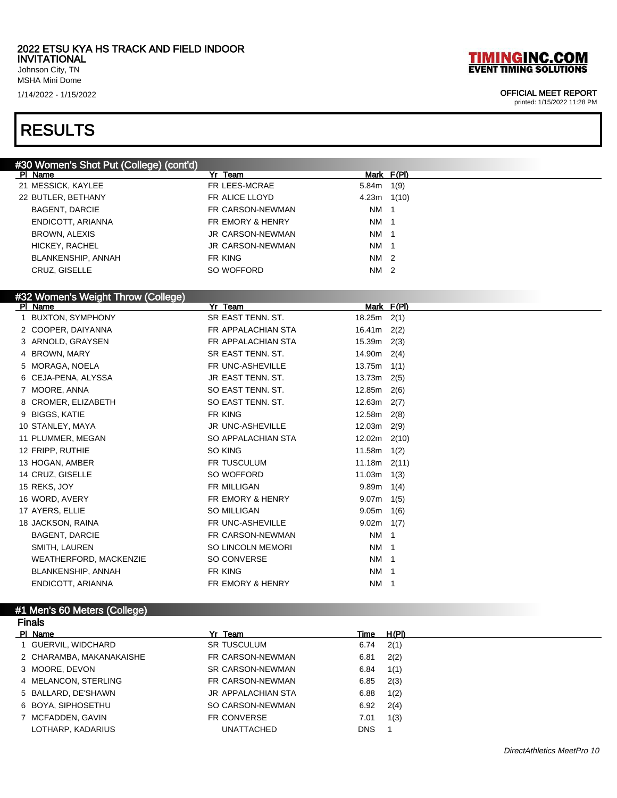#30 Women's Shot Put (College) (cont'd)

Johnson City, TN MSHA Mini Dome

### RESULTS

# **TIMINGINC.COM**<br>EVENT TIMING SOLUTIONS

### 1/14/2022 - 1/15/2022 OFFICIAL MEET REPORT

| PI Name                            | Yr Team                  |                  | Mark F(PI) |
|------------------------------------|--------------------------|------------------|------------|
| 21 MESSICK, KAYLEE                 | FR LEES-MCRAE            | $5.84m$ 1(9)     |            |
| 22 BUTLER, BETHANY                 | FR ALICE LLOYD           | $4.23m$ $1(10)$  |            |
| <b>BAGENT, DARCIE</b>              | FR CARSON-NEWMAN         | NM 1             |            |
| ENDICOTT, ARIANNA                  | FR EMORY & HENRY         | NM 1             |            |
| <b>BROWN, ALEXIS</b>               | <b>JR CARSON-NEWMAN</b>  | NM 1             |            |
| HICKEY, RACHEL                     | JR CARSON-NEWMAN         | NM 1             |            |
| <b>BLANKENSHIP, ANNAH</b>          | FR KING                  | NM 2             |            |
| CRUZ, GISELLE                      | SO WOFFORD               | NM 2             |            |
|                                    |                          |                  |            |
| #32 Women's Weight Throw (College) |                          |                  |            |
| PI Name                            | Yr Team                  | Mark F(PI)       |            |
| 1 BUXTON, SYMPHONY                 | SR EAST TENN. ST.        | 18.25 $m$ 2(1)   |            |
| 2 COOPER, DAIYANNA                 | FR APPALACHIAN STA       | 16.41 $m$ 2(2)   |            |
| 3 ARNOLD, GRAYSEN                  | FR APPALACHIAN STA       | 15.39m 2(3)      |            |
| 4 BROWN, MARY                      | SR EAST TENN. ST.        | $14.90m$ 2(4)    |            |
| 5 MORAGA, NOELA                    | FR UNC-ASHEVILLE         | $13.75m$ 1(1)    |            |
| 6 CEJA-PENA, ALYSSA                | JR EAST TENN. ST.        | $13.73m$ 2(5)    |            |
| 7 MOORE, ANNA                      | SO EAST TENN. ST.        | 12.85m           | 2(6)       |
| 8 CROMER, ELIZABETH                | SO EAST TENN. ST.        | 12.63 $m$ 2(7)   |            |
| 9 BIGGS, KATIE                     | FR KING                  | 12.58m 2(8)      |            |
| 10 STANLEY, MAYA                   | JR UNC-ASHEVILLE         | $12.03m$ $2(9)$  |            |
| 11 PLUMMER, MEGAN                  | SO APPALACHIAN STA       | $12.02m$ $2(10)$ |            |
| 12 FRIPP, RUTHIE                   | SO KING                  | 11.58m           | 1(2)       |
| 13 HOGAN, AMBER                    | FR TUSCULUM              | $11.18m$ 2(11)   |            |
| 14 CRUZ, GISELLE                   | SO WOFFORD               | 11.03m           | 1(3)       |
| 15 REKS, JOY                       | FR MILLIGAN              | $9.89m$ 1(4)     |            |
| 16 WORD, AVERY                     | FR EMORY & HENRY         | $9.07m$ 1(5)     |            |
| 17 AYERS, ELLIE                    | <b>SO MILLIGAN</b>       | $9.05m$ 1(6)     |            |
| 18 JACKSON, RAINA                  | FR UNC-ASHEVILLE         | $9.02m$ 1(7)     |            |
| <b>BAGENT, DARCIE</b>              | FR CARSON-NEWMAN         | NM 1             |            |
| SMITH, LAUREN                      | <b>SO LINCOLN MEMORI</b> | NM 1             |            |
| WEATHERFORD, MACKENZIE             | SO CONVERSE              | NM 1             |            |
| <b>BLANKENSHIP, ANNAH</b>          | FR KING                  | NM 1             |            |
| ENDICOTT, ARIANNA                  | FR EMORY & HENRY         | NM 1             |            |

| <b>Finals</b>            |                         |            |       |  |
|--------------------------|-------------------------|------------|-------|--|
| PI Name                  | Yr Team                 | Time       | H(PI) |  |
| 1 GUERVIL, WIDCHARD      | <b>SR TUSCULUM</b>      | 6.74       | 2(1)  |  |
| 2 CHARAMBA, MAKANAKAISHE | FR CARSON-NEWMAN        | 6.81       | 2(2)  |  |
| 3 MOORE, DEVON           | <b>SR CARSON-NEWMAN</b> | 6.84       | 1(1)  |  |
| 4 MELANCON, STERLING     | FR CARSON-NEWMAN        | 6.85       | 2(3)  |  |
| 5 BALLARD, DE'SHAWN      | JR APPALACHIAN STA      | 6.88       | 1(2)  |  |
| 6 BOYA, SIPHOSETHU       | SO CARSON-NEWMAN        | 6.92       | 2(4)  |  |
| 7 MCFADDEN, GAVIN        | FR CONVERSE             | 7.01       | 1(3)  |  |
| LOTHARP. KADARIUS        | <b>UNATTACHED</b>       | <b>DNS</b> |       |  |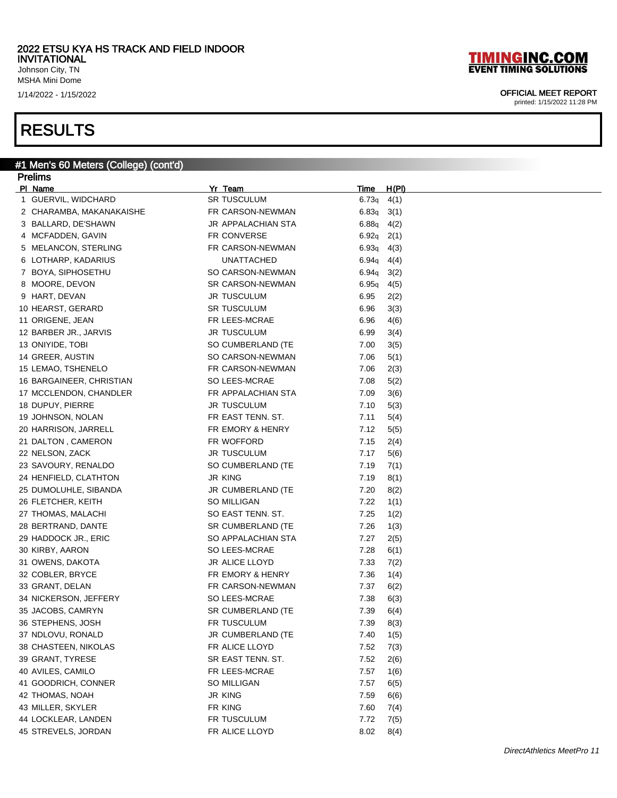Johnson City, TN MSHA Mini Dome

### RESULTS

#### #1 Men's 60 Meters (College) (cont'd) Prelims

| <u>Figilius</u>          |                    |                      |
|--------------------------|--------------------|----------------------|
| PI Name                  | Yr Team            | H(PI)<br><u>Time</u> |
| 1 GUERVIL, WIDCHARD      | <b>SR TUSCULUM</b> | 6.73q<br>4(1)        |
| 2 CHARAMBA, MAKANAKAISHE | FR CARSON-NEWMAN   | 6.83q<br>3(1)        |
| 3 BALLARD, DE'SHAWN      | JR APPALACHIAN STA | 6.88q<br>4(2)        |
| 4 MCFADDEN, GAVIN        | FR CONVERSE        | 6.92q<br>2(1)        |
| 5 MELANCON, STERLING     | FR CARSON-NEWMAN   | 6.93q<br>4(3)        |
| 6 LOTHARP, KADARIUS      | <b>UNATTACHED</b>  | 6.94q<br>4(4)        |
| 7 BOYA, SIPHOSETHU       | SO CARSON-NEWMAN   | 6.94q<br>3(2)        |
| 8 MOORE, DEVON           | SR CARSON-NEWMAN   | 6.95q<br>4(5)        |
| 9 HART, DEVAN            | JR TUSCULUM        | 6.95<br>2(2)         |
| 10 HEARST, GERARD        | <b>SR TUSCULUM</b> | 6.96<br>3(3)         |
| 11 ORIGENE, JEAN         | FR LEES-MCRAE      | 6.96<br>4(6)         |
| 12 BARBER JR., JARVIS    | JR TUSCULUM        | 6.99<br>3(4)         |
| 13 ONIYIDE, TOBI         | SO CUMBERLAND (TE  | 7.00<br>3(5)         |
| 14 GREER, AUSTIN         | SO CARSON-NEWMAN   | 7.06<br>5(1)         |
| 15 LEMAO, TSHENELO       | FR CARSON-NEWMAN   | 7.06<br>2(3)         |
| 16 BARGAINEER, CHRISTIAN | SO LEES-MCRAE      | 7.08<br>5(2)         |
| 17 MCCLENDON, CHANDLER   | FR APPALACHIAN STA | 7.09<br>3(6)         |
| 18 DUPUY, PIERRE         | JR TUSCULUM        | 7.10<br>5(3)         |
| 19 JOHNSON, NOLAN        | FR EAST TENN. ST.  | 7.11<br>5(4)         |
| 20 HARRISON, JARRELL     | FR EMORY & HENRY   | 7.12<br>5(5)         |
| 21 DALTON, CAMERON       | FR WOFFORD         | 7.15<br>2(4)         |
| 22 NELSON, ZACK          | JR TUSCULUM        | 7.17<br>5(6)         |
| 23 SAVOURY, RENALDO      | SO CUMBERLAND (TE  | 7.19<br>7(1)         |
| 24 HENFIELD, CLATHTON    | <b>JR KING</b>     | 7.19<br>8(1)         |
| 25 DUMOLUHLE, SIBANDA    | JR CUMBERLAND (TE  | 7.20<br>8(2)         |
| 26 FLETCHER, KEITH       | SO MILLIGAN        | 7.22<br>1(1)         |
| 27 THOMAS, MALACHI       | SO EAST TENN. ST.  | 7.25<br>1(2)         |
| 28 BERTRAND, DANTE       | SR CUMBERLAND (TE  | 7.26<br>1(3)         |
| 29 HADDOCK JR., ERIC     | SO APPALACHIAN STA | 7.27<br>2(5)         |
| 30 KIRBY, AARON          | SO LEES-MCRAE      | 7.28<br>6(1)         |
| 31 OWENS, DAKOTA         | JR ALICE LLOYD     | 7.33<br>7(2)         |
| 32 COBLER, BRYCE         | FR EMORY & HENRY   | 7.36<br>1(4)         |
| 33 GRANT, DELAN          | FR CARSON-NEWMAN   | 7.37<br>6(2)         |
| 34 NICKERSON, JEFFERY    | SO LEES-MCRAE      | 7.38<br>6(3)         |
| 35 JACOBS, CAMRYN        | SR CUMBERLAND (TE  | 7.39<br>6(4)         |
| 36 STEPHENS, JOSH        | FR TUSCULUM        | 7.39<br>8(3)         |
| 37 NDLOVU, RONALD        | JR CUMBERLAND (TE  | 7.40<br>1(5)         |
| 38 CHASTEEN, NIKOLAS     | FR ALICE LLOYD     | 7.52<br>7(3)         |
| 39 GRANT, TYRESE         | SR EAST TENN. ST.  | 7.52<br>2(6)         |
| 40 AVILES, CAMILO        | FR LEES-MCRAE      | 7.57<br>1(6)         |
| 41 GOODRICH, CONNER      | SO MILLIGAN        | 7.57<br>6(5)         |
| 42 THOMAS, NOAH          | <b>JR KING</b>     | 7.59<br>6(6)         |
| 43 MILLER, SKYLER        | FR KING            | 7.60<br>7(4)         |
| 44 LOCKLEAR, LANDEN      | FR TUSCULUM        | 7.72<br>7(5)         |
| 45 STREVELS, JORDAN      | FR ALICE LLOYD     | 8.02<br>8(4)         |

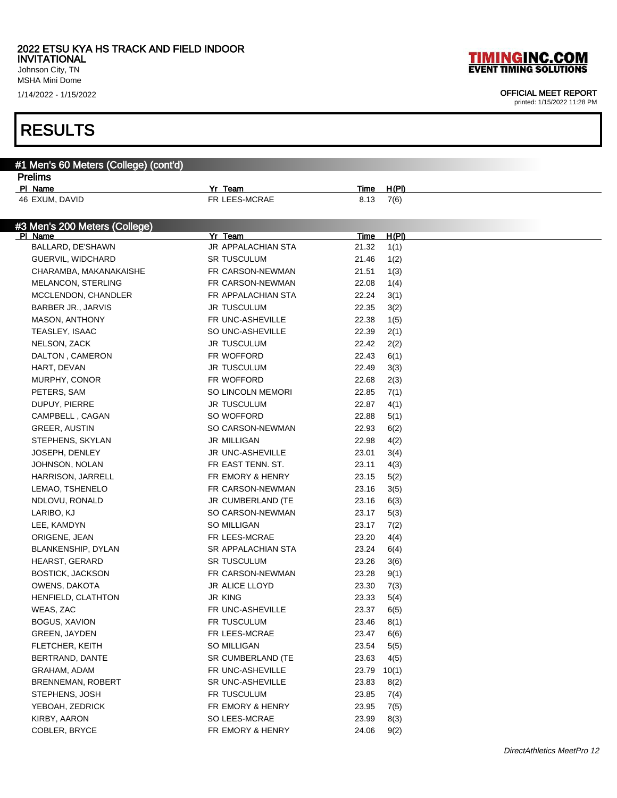Johnson City, TN MSHA Mini Dome

### RESULTS

#1 Men's 60 Meters (College) (cont'd)

|  |  |  | <b>TIMINGINC.COM</b>          |  |  |
|--|--|--|-------------------------------|--|--|
|  |  |  | <b>EVENT TIMING SOLUTIONS</b> |  |  |

### 1/14/2022 - 1/15/2022 OFFICIAL MEET REPORT

| <b>Prelims</b>                |                           |             |              |  |
|-------------------------------|---------------------------|-------------|--------------|--|
| PI Name                       | Yr Team                   | Time        | H(PI)        |  |
| 46 EXUM, DAVID                | FR LEES-MCRAE             | 8.13        | 7(6)         |  |
|                               |                           |             |              |  |
| #3 Men's 200 Meters (College) |                           |             |              |  |
| PI Name                       | Yr Team                   | Time        | <u>H(PI)</u> |  |
| BALLARD, DE'SHAWN             | <b>JR APPALACHIAN STA</b> | 21.32       | 1(1)         |  |
| GUERVIL, WIDCHARD             | SR TUSCULUM               | 21.46       | 1(2)         |  |
| CHARAMBA, MAKANAKAISHE        | FR CARSON-NEWMAN          | 21.51       | 1(3)         |  |
| MELANCON, STERLING            | FR CARSON-NEWMAN          | 22.08       | 1(4)         |  |
| MCCLENDON, CHANDLER           | FR APPALACHIAN STA        | 22.24       | 3(1)         |  |
| BARBER JR., JARVIS            | <b>JR TUSCULUM</b>        | 22.35       | 3(2)         |  |
| <b>MASON, ANTHONY</b>         | FR UNC-ASHEVILLE          | 22.38       | 1(5)         |  |
| TEASLEY, ISAAC                | SO UNC-ASHEVILLE          | 22.39       | 2(1)         |  |
| NELSON, ZACK                  | <b>JR TUSCULUM</b>        | 22.42       | 2(2)         |  |
| DALTON, CAMERON               | FR WOFFORD                | 22.43       | 6(1)         |  |
| HART, DEVAN                   | JR TUSCULUM               | 22.49       | 3(3)         |  |
| MURPHY, CONOR                 | FR WOFFORD                | 22.68       | 2(3)         |  |
| PETERS, SAM                   | <b>SO LINCOLN MEMORI</b>  | 22.85       | 7(1)         |  |
| DUPUY, PIERRE                 | <b>JR TUSCULUM</b>        | 22.87       | 4(1)         |  |
| CAMPBELL, CAGAN               | SO WOFFORD                | 22.88       | 5(1)         |  |
| GREER, AUSTIN                 | SO CARSON-NEWMAN          | 22.93       | 6(2)         |  |
| STEPHENS, SKYLAN              | JR MILLIGAN               | 22.98       | 4(2)         |  |
| <b>JOSEPH, DENLEY</b>         | <b>JR UNC-ASHEVILLE</b>   | 23.01       | 3(4)         |  |
| JOHNSON, NOLAN                | FR EAST TENN. ST.         | 23.11       | 4(3)         |  |
| HARRISON, JARRELL             | FR EMORY & HENRY          | 23.15       | 5(2)         |  |
| LEMAO, TSHENELO               | FR CARSON-NEWMAN          | 23.16       | 3(5)         |  |
| NDLOVU, RONALD                | JR CUMBERLAND (TE         | 23.16       | 6(3)         |  |
| LARIBO, KJ                    | SO CARSON-NEWMAN          | 23.17       |              |  |
|                               | SO MILLIGAN               | 23.17       | 5(3)         |  |
| LEE, KAMDYN                   |                           |             | 7(2)         |  |
| ORIGENE, JEAN                 | FR LEES-MCRAE             | 23.20       | 4(4)         |  |
| BLANKENSHIP, DYLAN            | <b>SR APPALACHIAN STA</b> | 23.24       | 6(4)         |  |
| <b>HEARST, GERARD</b>         | <b>SR TUSCULUM</b>        | 23.26       | 3(6)         |  |
| <b>BOSTICK, JACKSON</b>       | FR CARSON-NEWMAN          | 23.28       | 9(1)         |  |
| OWENS, DAKOTA                 | JR ALICE LLOYD            | 23.30       | 7(3)         |  |
| HENFIELD, CLATHTON            | JR KING                   | 23.33       | 5(4)         |  |
| WEAS, ZAC                     | FR UNC-ASHEVILLE          | 23.37       | 6(5)         |  |
| BOGUS, XAVION                 | FR TUSCULUM               | 23.46       | 8(1)         |  |
| <b>GREEN, JAYDEN</b>          | FR LEES-MCRAE             | 23.47       | 6(6)         |  |
| FLETCHER, KEITH               | SO MILLIGAN               | 23.54       | 5(5)         |  |
| BERTRAND, DANTE               | SR CUMBERLAND (TE         | 23.63       | 4(5)         |  |
| GRAHAM, ADAM                  | FR UNC-ASHEVILLE          | 23.79 10(1) |              |  |
| <b>BRENNEMAN, ROBERT</b>      | <b>SR UNC-ASHEVILLE</b>   | 23.83       | 8(2)         |  |
| STEPHENS, JOSH                | FR TUSCULUM               | 23.85       | 7(4)         |  |
| YEBOAH, ZEDRICK               | FR EMORY & HENRY          | 23.95       | 7(5)         |  |
| KIRBY, AARON                  | SO LEES-MCRAE             | 23.99       | 8(3)         |  |
| COBLER, BRYCE                 | FR EMORY & HENRY          | 24.06       | 9(2)         |  |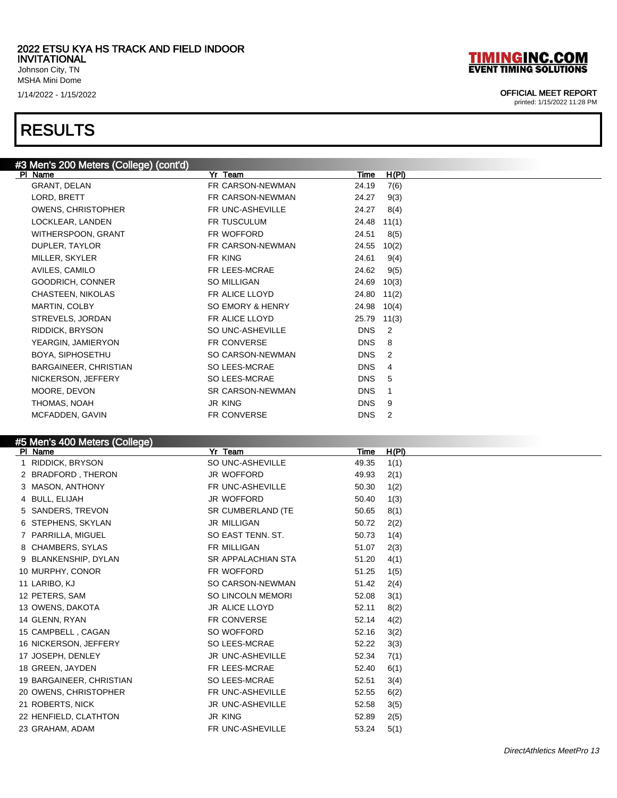Johnson City, TN MSHA Mini Dome

### RESULTS

### #3 Men's 200 Meters (College) (cont'd) Pr Team Time H(PI) GRANT, DELAN FR CARSON-NEWMAN 24.19 7(6) LORD, BRETT FR CARSON-NEWMAN 24.27 9(3) OWENS, CHRISTOPHER FR UNC-ASHEVILLE 24.27 8(4) LOCKLEAR, LANDEN FR TUSCULUM 24.48 11(1) WITHERSPOON, GRANT FR WOFFORD 24.51 8(5) DUPLER, TAYLOR FR CARSON-NEWMAN 24.55 10(2) MILLER, SKYLER FR KING FR KING 24.61 9(4) AVILES, CAMILO **FR LEES-MCRAE** 24.62 9(5) GOODRICH, CONNER SO MILLIGAN 24.69 10(3) CHASTEEN, NIKOLAS FR ALICE LLOYD 24.80 11(2) MARTIN, COLBY **SO EMORY & HENRY** 24.98 10(4) STREVELS, JORDAN FR ALICE LLOYD 25.79 11(3) RIDDICK, BRYSON SO UNC-ASHEVILLE DNS 2 YEARGIN, JAMIERYON FR CONVERSE DNS 8 BOYA, SIPHOSETHU **SO CARSON-NEWMAN** DNS 2 BARGAINEER, CHRISTIAN SO LEES-MCRAE DNS 4

NICKERSON, JEFFERY SO LEES-MCRAE DNS 5 MOORE, DEVON SR CARSON-NEWMAN DNS 1 THOMAS, NOAH DISCHOOL DAS SURVEYS AND THOMAS, NOAH MCFADDEN, GAVIN FR CONVERSE EXAMPLE AND THE R CONVERSE THE SERVICE RESERVE AND HIS

| #5 Men's 400 Meters (College) |  |  |
|-------------------------------|--|--|

| $10$ mono $400$ motors (concepc)<br>Yr Team<br>H(PI)<br>Time<br>PI Name |
|-------------------------------------------------------------------------|
| RIDDICK, BRYSON<br>SO UNC-ASHEVILLE<br>49.35<br>1(1)                    |
| JR WOFFORD<br>2 BRADFORD, THERON<br>2(1)<br>49.93                       |
| 3 MASON, ANTHONY<br>FR UNC-ASHEVILLE<br>50.30<br>1(2)                   |
| JR WOFFORD<br>4 BULL, ELIJAH<br>1(3)<br>50.40                           |
| 5 SANDERS, TREVON<br>SR CUMBERLAND (TE<br>50.65<br>8(1)                 |
| 6 STEPHENS, SKYLAN<br><b>JR MILLIGAN</b><br>50.72<br>2(2)               |
| SO EAST TENN, ST.<br>7 PARRILLA, MIGUEL<br>50.73<br>1(4)                |
| 8 CHAMBERS, SYLAS<br><b>FR MILLIGAN</b><br>51.07<br>2(3)                |
| 51.20<br>9 BLANKENSHIP, DYLAN<br><b>SR APPALACHIAN STA</b><br>4(1)      |
| 10 MURPHY, CONOR<br>FR WOFFORD<br>51.25<br>1(5)                         |
| 11 LARIBO, KJ<br>SO CARSON-NEWMAN<br>51.42<br>2(4)                      |
| 12 PETERS, SAM<br><b>SO LINCOLN MEMORI</b><br>52.08<br>3(1)             |
| 13 OWENS, DAKOTA<br>JR ALICE LLOYD<br>52.11<br>8(2)                     |
| 14 GLENN, RYAN<br><b>FR CONVERSE</b><br>52.14<br>4(2)                   |
| SO WOFFORD<br>15 CAMPBELL, CAGAN<br>52.16<br>3(2)                       |
| SO LEES-MCRAE<br>16 NICKERSON, JEFFERY<br>52.22<br>3(3)                 |
| <b>JR UNC-ASHEVILLE</b><br>17 JOSEPH, DENLEY<br>52.34<br>7(1)           |
| FR LEES-MCRAE<br>18 GREEN, JAYDEN<br>52.40<br>6(1)                      |
| SO LEES-MCRAE<br>19 BARGAINEER, CHRISTIAN<br>52.51<br>3(4)              |
| 20 OWENS, CHRISTOPHER<br>FR UNC-ASHEVILLE<br>52.55<br>6(2)              |
| 21 ROBERTS, NICK<br><b>JR UNC-ASHEVILLE</b><br>52.58<br>3(5)            |
| 22 HENFIELD, CLATHTON<br><b>JR KING</b><br>52.89<br>2(5)                |
| FR UNC-ASHEVILLE<br>23 GRAHAM, ADAM<br>53.24<br>5(1)                    |

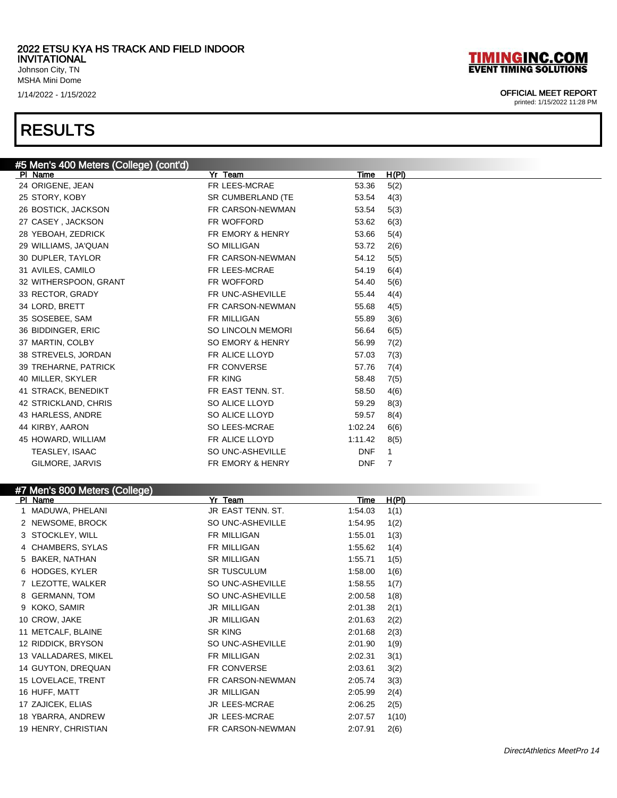Johnson City, TN MSHA Mini Dome

### RESULTS

### #5 Men's 400 Meters (College) (cont'd) Pl Name Yr Team Time H(Pl) 24 ORIGENE, JEAN FR LEES-MCRAE 53.36 5(2) 25 STORY, KOBY SR CUMBERLAND (TE 53.54 4(3) 26 BOSTICK, JACKSON **FR CARSON-NEWMAN** 53.54 5(3) 27 CASEY , JACKSON FR WOFFORD 53.62 6(3) 28 YEBOAH, ZEDRICK FR EMORY & HENRY 53.66 5(4) 29 WILLIAMS, JA'QUAN SO MILLIGAN SO MILLIGAN 53.72 2(6) 30 DUPLER, TAYLOR **FR CARSON-NEWMAN** 54.12 5(5) 31 AVILES, CAMILO **120 CAMILO** FR LEES-MCRAE 54.19 6(4) 32 WITHERSPOON, GRANT FR WOFFORD 54.40 5(6) 33 RECTOR, GRADY **FR UNC-ASHEVILLE** 55.44 4(4) 34 LORD, BRETT FR CARSON-NEWMAN 55.68 4(5) 35 SOSEBEE, SAM FR MILLIGAN 55.89 3(6) 36 BIDDINGER, ERIC SO LINCOLN MEMORI 56.64 6(5) 37 MARTIN, COLBY **SO EMORY & HENRY** 56.99 7(2) 38 STREVELS, JORDAN FR ALICE LLOYD 57.03 7(3) 39 TREHARNE, PATRICK FR CONVERSE 57.76 7(4) 40 MILLER, SKYLER **FR KING** FR KING 58.48 7(5) 41 STRACK, BENEDIKT FR EAST TENN. ST. 58.50 4(6) 42 STRICKLAND, CHRIS SO ALICE LLOYD 59.29 8(3) 43 HARLESS, ANDRE SO ALICE LLOYD 59.57 8(4) 44 KIRBY, AARON SO LEES-MCRAE 1:02.24 6(6) 45 HOWARD, WILLIAM **FR ALICE LLOYD** 1:11.42 8(5) TEASLEY, ISAAC SO UNC-ASHEVILLE DNF 1 GILMORE, JARVIS FR EMORY & HENRY AND THE THEORY ASSESSED.

### #7 Men's 800 Meters (College)

| Name<br><b>PI</b>    | Yr Team              | Time    | H(PI) |
|----------------------|----------------------|---------|-------|
| MADUWA, PHELANI      | JR EAST TENN, ST.    | 1:54.03 | 1(1)  |
| 2 NEWSOME, BROCK     | SO UNC-ASHEVILLE     | 1:54.95 | 1(2)  |
| 3 STOCKLEY, WILL     | FR MILLIGAN          | 1:55.01 | 1(3)  |
| 4 CHAMBERS, SYLAS    | FR MILLIGAN          | 1:55.62 | 1(4)  |
| 5 BAKER, NATHAN      | <b>SR MILLIGAN</b>   | 1:55.71 | 1(5)  |
| 6 HODGES, KYLER      | <b>SR TUSCULUM</b>   | 1:58.00 | 1(6)  |
| 7 LEZOTTE, WALKER    | SO UNC-ASHEVILLE     | 1:58.55 | 1(7)  |
| 8 GERMANN, TOM       | SO UNC-ASHEVILLE     | 2:00.58 | 1(8)  |
| 9 KOKO, SAMIR        | JR MILLIGAN          | 2:01.38 | 2(1)  |
| 10 CROW, JAKE        | <b>JR MILLIGAN</b>   | 2:01.63 | 2(2)  |
| 11 METCALF, BLAINE   | SR KING              | 2:01.68 | 2(3)  |
| 12 RIDDICK, BRYSON   | SO UNC-ASHEVILLE     | 2:01.90 | 1(9)  |
| 13 VALLADARES, MIKEL | FR MILLIGAN          | 2:02.31 | 3(1)  |
| 14 GUYTON, DREQUAN   | <b>FR CONVERSE</b>   | 2:03.61 | 3(2)  |
| 15 LOVELACE, TRENT   | FR CARSON-NEWMAN     | 2:05.74 | 3(3)  |
| 16 HUFF, MATT        | JR MILLIGAN          | 2:05.99 | 2(4)  |
| 17 ZAJICEK, ELIAS    | <b>JR LEES-MCRAE</b> | 2:06.25 | 2(5)  |
| 18 YBARRA, ANDREW    | JR LEES-MCRAE        | 2:07.57 | 1(10) |
| 19 HENRY, CHRISTIAN  | FR CARSON-NEWMAN     | 2:07.91 | 2(6)  |

### **TIMINGINC.COM EVENT TIMING SOLUTIONS**

#### 1/14/2022 - 1/15/2022 OFFICIAL MEET REPORT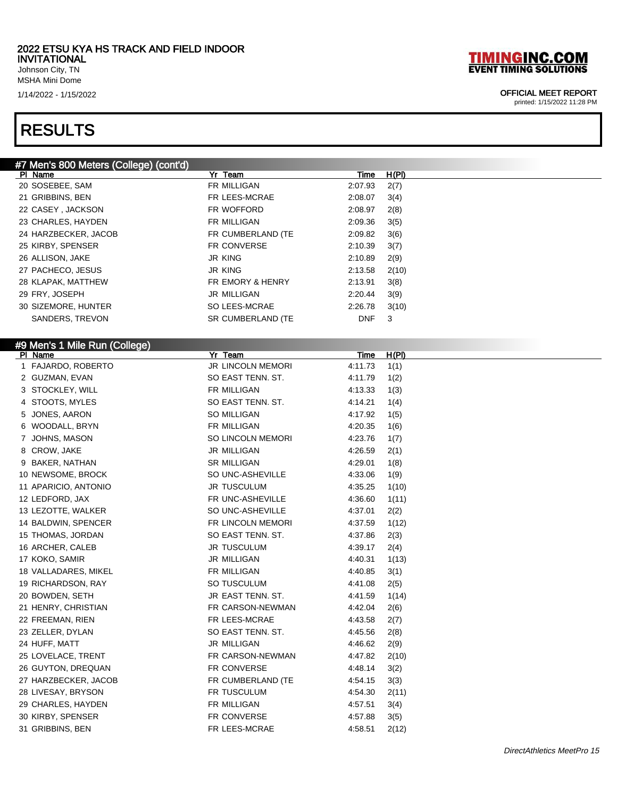Johnson City, TN MSHA Mini Dome

### RESULTS

### #7 Men's 800 Meters (College) (cont'd)

| PI Name              | Yr Team                     | Time       | H(PI) |
|----------------------|-----------------------------|------------|-------|
| 20 SOSEBEE, SAM      | <b>FR MILLIGAN</b>          | 2:07.93    | 2(7)  |
| 21 GRIBBINS, BEN     | FR LEES-MCRAE               | 2:08.07    | 3(4)  |
| 22 CASEY, JACKSON    | FR WOFFORD                  | 2:08.97    | 2(8)  |
| 23 CHARLES, HAYDEN   | <b>FR MILLIGAN</b>          | 2:09.36    | 3(5)  |
| 24 HARZBECKER, JACOB | FR CUMBERLAND (TE           | 2:09.82    | 3(6)  |
| 25 KIRBY, SPENSER    | FR CONVERSE                 | 2:10.39    | 3(7)  |
| 26 ALLISON, JAKE     | JR KING                     | 2:10.89    | 2(9)  |
| 27 PACHECO, JESUS    | JR KING                     | 2:13.58    | 2(10) |
| 28 KLAPAK, MATTHEW   | <b>FR EMORY &amp; HENRY</b> | 2:13.91    | 3(8)  |
| 29 FRY, JOSEPH       | JR MILLIGAN                 | 2:20.44    | 3(9)  |
| 30 SIZEMORE, HUNTER  | SO LEES-MCRAE               | 2:26.78    | 3(10) |
| SANDERS, TREVON      | SR CUMBERLAND (TE           | <b>DNF</b> | 3     |
|                      |                             |            |       |

### #9 Men's 1 Mile Run (College)

| PI Name              | Yr Team            | Time    | H(PI) |
|----------------------|--------------------|---------|-------|
| 1 FAJARDO, ROBERTO   | JR LINCOLN MEMORI  | 4:11.73 | 1(1)  |
| 2 GUZMAN, EVAN       | SO EAST TENN. ST.  | 4:11.79 | 1(2)  |
| 3 STOCKLEY, WILL     | FR MILLIGAN        | 4:13.33 | 1(3)  |
| STOOTS, MYLES<br>4   | SO EAST TENN. ST.  | 4:14.21 | 1(4)  |
| JONES, AARON<br>5    | <b>SO MILLIGAN</b> | 4:17.92 | 1(5)  |
| WOODALL, BRYN<br>6   | FR MILLIGAN        | 4:20.35 | 1(6)  |
| JOHNS, MASON<br>7    | SO LINCOLN MEMORI  | 4:23.76 | 1(7)  |
| 8 CROW, JAKE         | JR MILLIGAN        | 4:26.59 | 2(1)  |
| BAKER, NATHAN<br>9   | <b>SR MILLIGAN</b> | 4:29.01 | 1(8)  |
| 10 NEWSOME, BROCK    | SO UNC-ASHEVILLE   | 4:33.06 | 1(9)  |
| 11 APARICIO, ANTONIO | <b>JR TUSCULUM</b> | 4:35.25 | 1(10) |
| 12 LEDFORD, JAX      | FR UNC-ASHEVILLE   | 4:36.60 | 1(11) |
| 13 LEZOTTE, WALKER   | SO UNC-ASHEVILLE   | 4:37.01 | 2(2)  |
| 14 BALDWIN, SPENCER  | FR LINCOLN MEMORI  | 4:37.59 | 1(12) |
| 15 THOMAS, JORDAN    | SO EAST TENN. ST.  | 4:37.86 | 2(3)  |
| 16 ARCHER, CALEB     | <b>JR TUSCULUM</b> | 4:39.17 | 2(4)  |
| 17 KOKO, SAMIR       | <b>JR MILLIGAN</b> | 4:40.31 | 1(13) |
| 18 VALLADARES, MIKEL | FR MILLIGAN        | 4:40.85 | 3(1)  |
| 19 RICHARDSON, RAY   | SO TUSCULUM        | 4:41.08 | 2(5)  |
| 20 BOWDEN, SETH      | JR EAST TENN. ST.  | 4:41.59 | 1(14) |
| 21 HENRY, CHRISTIAN  | FR CARSON-NEWMAN   | 4:42.04 | 2(6)  |
| 22 FREEMAN, RIEN     | FR LEES-MCRAE      | 4:43.58 | 2(7)  |
| 23 ZELLER, DYLAN     | SO EAST TENN. ST.  | 4:45.56 | 2(8)  |
| 24 HUFF, MATT        | JR MILLIGAN        | 4:46.62 | 2(9)  |
| 25 LOVELACE, TRENT   | FR CARSON-NEWMAN   | 4:47.82 | 2(10) |
| 26 GUYTON, DREQUAN   | FR CONVERSE        | 4:48.14 | 3(2)  |
| 27 HARZBECKER, JACOB | FR CUMBERLAND (TE  | 4:54.15 | 3(3)  |
| 28 LIVESAY, BRYSON   | FR TUSCULUM        | 4:54.30 | 2(11) |
| 29 CHARLES, HAYDEN   | FR MILLIGAN        | 4:57.51 | 3(4)  |
| 30 KIRBY, SPENSER    | FR CONVERSE        | 4:57.88 | 3(5)  |
| 31 GRIBBINS, BEN     | FR LEES-MCRAE      | 4:58.51 | 2(12) |
|                      |                    |         |       |

# **TIMINGINC.COM**<br>EVENT TIMING SOLUTIONS

### 1/14/2022 - 1/15/2022 OFFICIAL MEET REPORT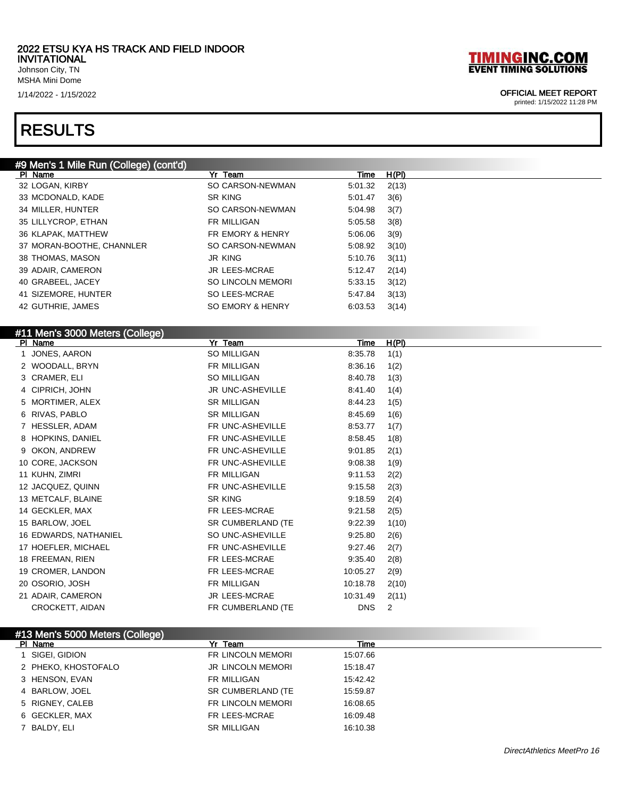Johnson City, TN MSHA Mini Dome

### RESULTS

# **TIMINGINC.COM**<br>EVENT TIMING SOLUTIONS

### 1/14/2022 - 1/15/2022 OFFICIAL MEET REPORT

| #9 Men's 1 Mile Run (College) (cont'd) |                          |            |       |
|----------------------------------------|--------------------------|------------|-------|
| PI Name                                | Yr Team                  | Time       | H(PI) |
| 32 LOGAN, KIRBY                        | SO CARSON-NEWMAN         | 5:01.32    | 2(13) |
| 33 MCDONALD, KADE                      | SR KING                  | 5:01.47    | 3(6)  |
| 34 MILLER, HUNTER                      | SO CARSON-NEWMAN         | 5.04.98    | 3(7)  |
| 35 LILLYCROP, ETHAN                    | FR MILLIGAN              | 5:05.58    | 3(8)  |
| 36 KLAPAK, MATTHEW                     | FR EMORY & HENRY         | 5:06.06    | 3(9)  |
| 37 MORAN-BOOTHE, CHANNLER              | SO CARSON-NEWMAN         | 5:08.92    | 3(10) |
| 38 THOMAS, MASON                       | <b>JR KING</b>           | 5:10.76    | 3(11) |
| 39 ADAIR, CAMERON                      | <b>JR LEES-MCRAE</b>     | 5:12.47    | 2(14) |
| 40 GRABEEL, JACEY                      | <b>SO LINCOLN MEMORI</b> | 5:33.15    | 3(12) |
| 41 SIZEMORE, HUNTER                    | SO LEES-MCRAE            | 5:47.84    | 3(13) |
| 42 GUTHRIE, JAMES                      | SO EMORY & HENRY         | 6:03.53    | 3(14) |
|                                        |                          |            |       |
| #11 Men's 3000 Meters (College)        |                          |            |       |
| PI Name                                | Yr Team                  | Time       | H(PI) |
| 1 JONES, AARON                         | SO MILLIGAN              | 8:35.78    | 1(1)  |
| 2 WOODALL, BRYN                        | FR MILLIGAN              | 8:36.16    | 1(2)  |
| 3 CRAMER, ELI                          | SO MILLIGAN              | 8:40.78    | 1(3)  |
| 4 CIPRICH, JOHN                        | JR UNC-ASHEVILLE         | 8:41.40    | 1(4)  |
| 5 MORTIMER, ALEX                       | SR MILLIGAN              | 8:44.23    | 1(5)  |
| 6 RIVAS, PABLO                         | <b>SR MILLIGAN</b>       | 8:45.69    | 1(6)  |
| 7 HESSLER, ADAM                        | FR UNC-ASHEVILLE         | 8:53.77    | 1(7)  |
| 8 HOPKINS, DANIEL                      | FR UNC-ASHEVILLE         | 8:58.45    | 1(8)  |
| 9 OKON, ANDREW                         | FR UNC-ASHEVILLE         | 9:01.85    | 2(1)  |
| 10 CORE, JACKSON                       | FR UNC-ASHEVILLE         | 9:08.38    | 1(9)  |
| 11 KUHN, ZIMRI                         | FR MILLIGAN              | 9:11.53    | 2(2)  |
| 12 JACQUEZ, QUINN                      | FR UNC-ASHEVILLE         | 9:15.58    | 2(3)  |
| 13 METCALF, BLAINE                     | SR KING                  | 9:18.59    | 2(4)  |
| 14 GECKLER, MAX                        | FR LEES-MCRAE            | 9:21.58    | 2(5)  |
| 15 BARLOW, JOEL                        | SR CUMBERLAND (TE        | 9:22.39    | 1(10) |
| 16 EDWARDS, NATHANIEL                  | SO UNC-ASHEVILLE         | 9:25.80    | 2(6)  |
| 17 HOEFLER, MICHAEL                    | FR UNC-ASHEVILLE         | 9:27.46    | 2(7)  |
| 18 FREEMAN, RIEN                       | FR LEES-MCRAE            | 9:35.40    | 2(8)  |
| 19 CROMER, LANDON                      | FR LEES-MCRAE            | 10:05.27   | 2(9)  |
| 20 OSORIO, JOSH                        | FR MILLIGAN              | 10:18.78   | 2(10) |
| 21 ADAIR, CAMERON                      | JR LEES-MCRAE            | 10:31.49   | 2(11) |
| CROCKETT, AIDAN                        | FR CUMBERLAND (TE        | <b>DNS</b> | 2     |
|                                        |                          |            |       |

| #13 Men's 5000 Meters (College) |                          |          |  |
|---------------------------------|--------------------------|----------|--|
| PI Name                         | Yr Team                  | Time     |  |
| SIGEI, GIDION                   | FR LINCOLN MEMORI        | 15:07.66 |  |
| 2 PHEKO, KHOSTOFALO             | <b>JR LINCOLN MEMORI</b> | 15:18.47 |  |
| 3 HENSON, EVAN                  | FR MILLIGAN              | 15:42.42 |  |
| 4 BARLOW, JOEL                  | SR CUMBERLAND (TE        | 15:59.87 |  |
| 5 RIGNEY, CALEB                 | FR LINCOLN MEMORI        | 16:08.65 |  |
| 6 GECKLER, MAX                  | FR LEES-MCRAE            | 16:09.48 |  |
| 7 BALDY, ELI                    | <b>SR MILLIGAN</b>       | 16:10.38 |  |
|                                 |                          |          |  |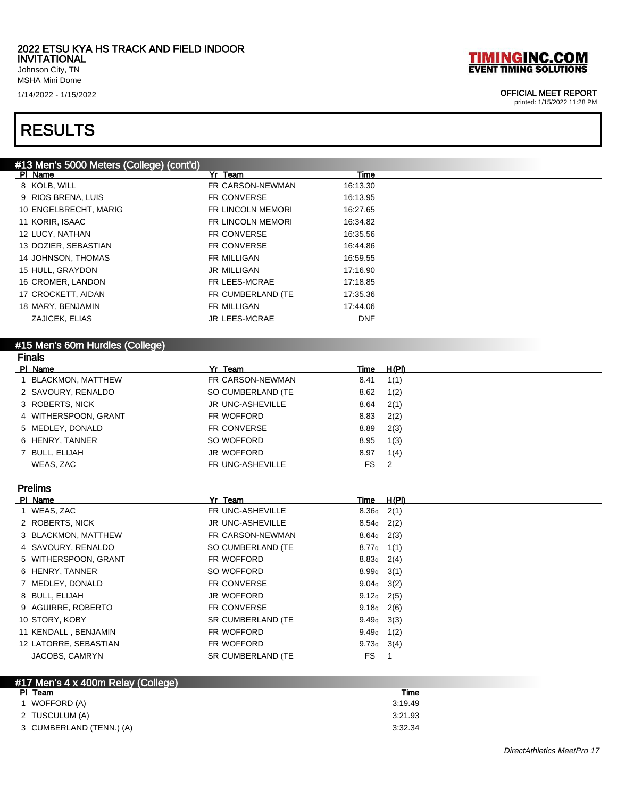Johnson City, TN MSHA Mini Dome

### RESULTS

### #13 Men's 5000 Meters (College) (cont'd)

| io men's oooo meters (college) (colleg<br>PI Name | Yr Team            | <u>Time</u>  |              |
|---------------------------------------------------|--------------------|--------------|--------------|
| 8 KOLB, WILL                                      | FR CARSON-NEWMAN   | 16:13.30     |              |
| 9 RIOS BRENA, LUIS                                | FR CONVERSE        | 16:13.95     |              |
| 10 ENGELBRECHT, MARIG                             | FR LINCOLN MEMORI  | 16:27.65     |              |
| 11 KORIR, ISAAC                                   | FR LINCOLN MEMORI  | 16:34.82     |              |
| 12 LUCY, NATHAN                                   | FR CONVERSE        | 16:35.56     |              |
| 13 DOZIER, SEBASTIAN                              | FR CONVERSE        | 16:44.86     |              |
| 14 JOHNSON, THOMAS                                | FR MILLIGAN        | 16:59.55     |              |
| 15 HULL, GRAYDON                                  | <b>JR MILLIGAN</b> | 17:16.90     |              |
| 16 CROMER, LANDON                                 | FR LEES-MCRAE      | 17:18.85     |              |
| 17 CROCKETT, AIDAN                                | FR CUMBERLAND (TE  | 17:35.36     |              |
| 18 MARY, BENJAMIN                                 | FR MILLIGAN        | 17:44.06     |              |
| ZAJICEK, ELIAS                                    | JR LEES-MCRAE      | <b>DNF</b>   |              |
|                                                   |                    |              |              |
| #15 Men's 60m Hurdles (College)                   |                    |              |              |
| <b>Finals</b>                                     |                    |              |              |
| <b>PI</b> Name                                    | Yr Team            | <u>Time</u>  | <u>H(PI)</u> |
| 1 BLACKMON, MATTHEW                               | FR CARSON-NEWMAN   | 8.41         | 1(1)         |
| 2 SAVOURY, RENALDO                                | SO CUMBERLAND (TE  | 8.62         | 1(2)         |
| 3 ROBERTS, NICK                                   | JR UNC-ASHEVILLE   | 8.64         | 2(1)         |
| 4 WITHERSPOON, GRANT                              | FR WOFFORD         | 8.83         | 2(2)         |
| 5 MEDLEY, DONALD                                  | FR CONVERSE        | 8.89         | 2(3)         |
| 6 HENRY, TANNER                                   | SO WOFFORD         | 8.95         | 1(3)         |
| 7 BULL, ELIJAH                                    | JR WOFFORD         | 8.97         | 1(4)         |
| WEAS, ZAC                                         | FR UNC-ASHEVILLE   | FS           | 2            |
|                                                   |                    |              |              |
| <b>Prelims</b>                                    |                    |              |              |
| PI Name                                           | Yr Team            | <u>Time</u>  | H(PI)        |
| 1 WEAS, ZAC                                       | FR UNC-ASHEVILLE   | $8.36q$ 2(1) |              |
| 2 ROBERTS, NICK                                   | JR UNC-ASHEVILLE   | $8.54q$ 2(2) |              |
| 3 BLACKMON, MATTHEW                               | FR CARSON-NEWMAN   | $8.64q$ 2(3) |              |
| 4 SAVOURY, RENALDO                                | SO CUMBERLAND (TE  | $8.77q$ 1(1) |              |
| 5 WITHERSPOON, GRANT                              | FR WOFFORD         | 8.83q        | 2(4)         |
| 6 HENRY, TANNER                                   | SO WOFFORD         | 8.99q        | 3(1)         |
| 7 MEDLEY, DONALD                                  | FR CONVERSE        | 9.04q        | 3(2)         |
| 8 BULL, ELIJAH                                    | JR WOFFORD         | 9.12q        | 2(5)         |
| 9 AGUIRRE, ROBERTO                                | FR CONVERSE        | 9.18q        | 2(6)         |
| 10 STORY, KOBY                                    | SR CUMBERLAND (TE  | 9.49q        | 3(3)         |
| 11 KENDALL, BENJAMIN                              | FR WOFFORD         | $9.49q$ 1(2) |              |
| 12 LATORRE, SEBASTIAN                             | FR WOFFORD         | 9.73q        | 3(4)         |
| JACOBS, CAMRYN                                    | SR CUMBERLAND (TE  | FS           | $\mathbf{1}$ |
|                                                   |                    |              |              |
| $H47$ Maple $A \vee A00$ m Dalou (Callaga)        |                    |              |              |

| #17 Men's 4 x 400m Relay (College) |         |  |
|------------------------------------|---------|--|
| PI Team                            | Time    |  |
| WOFFORD (A)                        | 3:19.49 |  |
| 2 TUSCULUM (A)                     | 3:21.93 |  |
| 3 CUMBERLAND (TENN.) (A)           | 3:32.34 |  |

# **TIMINGINC.COM**<br>EVENT TIMING SOLUTIONS

### 1/14/2022 - 1/15/2022 OFFICIAL MEET REPORT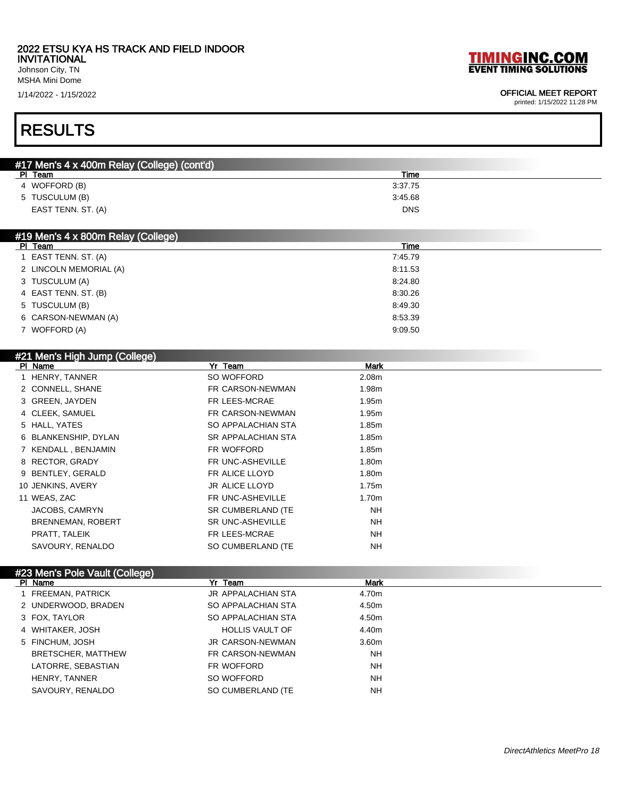### 2022 ETSU KYA HS TRACK AND FIELD INDOOR

INVITATIONAL Johnson City, TN

MSHA Mini Dome

1/14/2022 - 1/15/2022 OFFICIAL MEET REPORT

# RESULTS

| #17 Men's 4 x 400m Relay (College) (cont'd) |            |
|---------------------------------------------|------------|
| PI Team                                     | Time       |
| 4 WOFFORD (B)                               | 3:37.75    |
| 5 TUSCULUM (B)                              | 3:45.68    |
| EAST TENN. ST. (A)                          | <b>DNS</b> |
|                                             |            |

### #19 Men's 4 x 800m Relay (College)

| PI Team                | Time    |
|------------------------|---------|
| 1 EAST TENN. ST. (A)   | 7:45.79 |
| 2 LINCOLN MEMORIAL (A) | 8:11.53 |
| 3 TUSCULUM (A)         | 8:24.80 |
| 4 EAST TENN. ST. (B)   | 8:30.26 |
| 5 TUSCULUM (B)         | 8:49.30 |
| 6 CARSON-NEWMAN (A)    | 8:53.39 |
| 7 WOFFORD (A)          | 9:09.50 |

### #21 Men's High Jump (College)

| PI Name                  | Yr Team                 | <b>Mark</b>       |  |
|--------------------------|-------------------------|-------------------|--|
| 1 HENRY, TANNER          | SO WOFFORD              | 2.08 <sub>m</sub> |  |
| 2 CONNELL, SHANE         | FR CARSON-NEWMAN        | 1.98m             |  |
| 3 GREEN, JAYDEN          | FR LEES-MCRAE           | 1.95m             |  |
| 4 CLEEK, SAMUEL          | FR CARSON-NEWMAN        | 1.95m             |  |
| 5 HALL, YATES            | SO APPALACHIAN STA      | 1.85m             |  |
| 6 BLANKENSHIP, DYLAN     | SR APPALACHIAN STA      | 1.85m             |  |
| 7 KENDALL, BENJAMIN      | FR WOFFORD              | 1.85m             |  |
| 8 RECTOR, GRADY          | FR UNC-ASHEVILLE        | 1.80m             |  |
| 9 BENTLEY, GERALD        | FR ALICE LLOYD          | 1.80m             |  |
| 10 JENKINS, AVERY        | <b>JR ALICE LLOYD</b>   | 1.75m             |  |
| 11 WEAS, ZAC             | FR UNC-ASHEVILLE        | 1.70m             |  |
| JACOBS, CAMRYN           | SR CUMBERLAND (TE       | <b>NH</b>         |  |
| <b>BRENNEMAN, ROBERT</b> | <b>SR UNC-ASHEVILLE</b> | <b>NH</b>         |  |
| PRATT, TALEIK            | FR LEES-MCRAE           | <b>NH</b>         |  |
| SAVOURY, RENALDO         | SO CUMBERLAND (TE       | <b>NH</b>         |  |
|                          |                         |                   |  |

### #23 Men's Pole Vault (College)

| PI Name             | Yr Team                | <b>Mark</b> |
|---------------------|------------------------|-------------|
| 1 FREEMAN, PATRICK  | JR APPALACHIAN STA     | 4.70m       |
| 2 UNDERWOOD, BRADEN | SO APPALACHIAN STA     | 4.50m       |
| 3 FOX, TAYLOR       | SO APPALACHIAN STA     | 4.50m       |
| 4 WHITAKER, JOSH    | <b>HOLLIS VAULT OF</b> | 4.40m       |
| 5 FINCHUM, JOSH     | JR CARSON-NEWMAN       | 3.60m       |
| BRETSCHER, MATTHEW  | FR CARSON-NEWMAN       | <b>NH</b>   |
| LATORRE. SEBASTIAN  | FR WOFFORD             | <b>NH</b>   |
| HENRY, TANNER       | SO WOFFORD             | <b>NH</b>   |
| SAVOURY, RENALDO    | SO CUMBERLAND (TE      | <b>NH</b>   |

**TIMINGINC.COM**<br>EVENT TIMING SOLUTIONS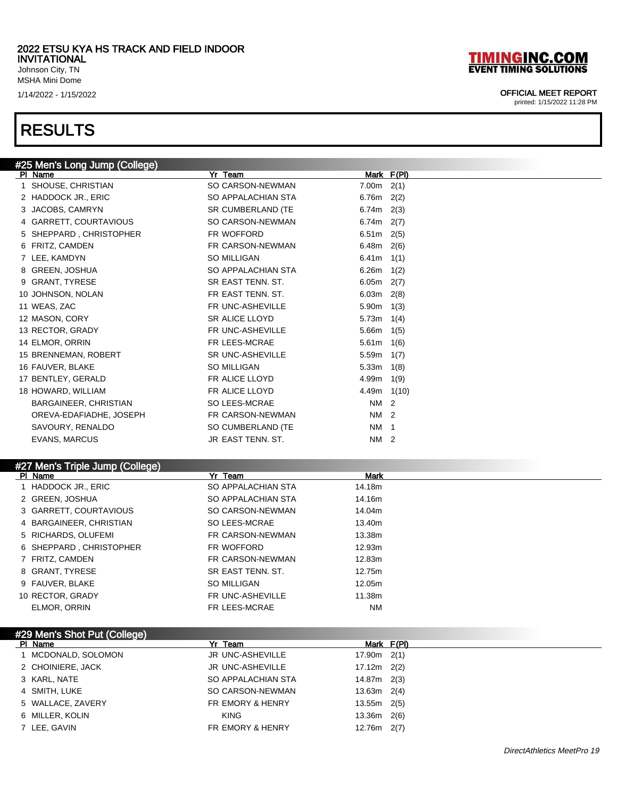Johnson City, TN MSHA Mini Dome

### RESULTS

### **TIMINGINC.COM EVENT TIMING SOLUTIONS**

### 1/14/2022 - 1/15/2022 OFFICIAL MEET REPORT

printed: 1/15/2022 11:28 PM

| #25 Men's Long Jump (College)   |                         |                                       |
|---------------------------------|-------------------------|---------------------------------------|
| PI Name                         | Yr Team                 | Mark F(PI)                            |
| 1 SHOUSE, CHRISTIAN             | SO CARSON-NEWMAN        | $7.00m$ 2(1)                          |
| 2 HADDOCK JR., ERIC             | SO APPALACHIAN STA      | 6.76 $m$ 2(2)                         |
| JACOBS, CAMRYN                  | SR CUMBERLAND (TE       | $6.74m$ 2(3)                          |
| 4 GARRETT, COURTAVIOUS          | SO CARSON-NEWMAN        | 6.74 $m$ 2(7)                         |
| 5 SHEPPARD, CHRISTOPHER         | FR WOFFORD              | $6.51m$ 2(5)                          |
| 6 FRITZ, CAMDEN                 | FR CARSON-NEWMAN        | $6.48m$ 2(6)                          |
| 7 LEE, KAMDYN                   | SO MILLIGAN             | $6.41m$ 1(1)                          |
| 8 GREEN, JOSHUA                 | SO APPALACHIAN STA      | $6.26m$ 1(2)                          |
| 9 GRANT, TYRESE                 | SR EAST TENN. ST.       | $6.05m$ 2(7)                          |
| 10 JOHNSON, NOLAN               | FR EAST TENN, ST.       | $6.03m$ 2(8)                          |
| 11 WEAS, ZAC                    | FR UNC-ASHEVILLE        | $5.90m$ 1(3)                          |
| 12 MASON, CORY                  | <b>SR ALICE LLOYD</b>   | 5.73m<br>1(4)                         |
| 13 RECTOR, GRADY                | FR UNC-ASHEVILLE        | $5.66m$ 1(5)                          |
| 14 ELMOR, ORRIN                 | FR LEES-MCRAE           | 5.61m<br>1(6)                         |
| 15 BRENNEMAN, ROBERT            | <b>SR UNC-ASHEVILLE</b> | 5.59m $1(7)$                          |
| 16 FAUVER, BLAKE                | SO MILLIGAN             | 5.33m<br>1(8)                         |
| 17 BENTLEY, GERALD              | FR ALICE LLOYD          | $4.99m$ 1(9)                          |
| 18 HOWARD, WILLIAM              | FR ALICE LLOYD          | $4.49m$ 1(10)                         |
| BARGAINEER, CHRISTIAN           | SO LEES-MCRAE           | NM <sub>2</sub>                       |
| OREVA-EDAFIADHE, JOSEPH         | FR CARSON-NEWMAN        | NM 2                                  |
| SAVOURY, RENALDO                | SO CUMBERLAND (TE       | <b>NM</b><br>$\overline{\phantom{0}}$ |
| <b>EVANS, MARCUS</b>            | JR EAST TENN, ST.       | NM 2                                  |
|                                 |                         |                                       |
| #27 Men's Triple Jump (College) |                         |                                       |

### Pl Name Yr Team Mark 1 HADDOCK JR., ERIC SO APPALACHIAN STA 14.18m 2 GREEN, JOSHUA SO APPALACHIAN STA 14.16m 3 GARRETT, COURTAVIOUS SO CARSON-NEWMAN 14.04m 4 BARGAINEER, CHRISTIAN SO LEES-MCRAE 13.40m 5 RICHARDS, OLUFEMI **FR CARSON-NEWMAN** 13.38m 6 SHEPPARD, CHRISTOPHER FR WOFFORD 12.93m 7 FRITZ, CAMDEN FR CARSON-NEWMAN 12.83m 8 GRANT, TYRESE SR EAST TENN. ST. 12.75m 9 FAUVER, BLAKE SO MILLIGAN 50 MILLIGAN 12.05m 10 RECTOR, GRADY FR UNC-ASHEVILLE 11.38m ELMOR, ORRIN FRIEES-MCRAE NM

| #29 Men's Shot Put (College) |                             |                 |
|------------------------------|-----------------------------|-----------------|
| PI Name                      | Yr Team                     | Mark F(PI)      |
| MCDONALD, SOLOMON            | JR UNC-ASHEVILLE            | $17.90m$ $2(1)$ |
| 2 CHOINIERE, JACK            | JR UNC-ASHEVILLE            | $17.12m$ $2(2)$ |
| 3 KARL, NATE                 | SO APPALACHIAN STA          | 14.87m 2(3)     |
| 4 SMITH, LUKE                | SO CARSON-NEWMAN            | $13.63m$ 2(4)   |
| 5 WALLACE, ZAVERY            | <b>FR EMORY &amp; HENRY</b> | $13.55m$ $2(5)$ |
| 6 MILLER, KOLIN              | <b>KING</b>                 | $13.36m$ $2(6)$ |
| 7 LEE, GAVIN                 | <b>FR EMORY &amp; HENRY</b> | $12.76m$ $2(7)$ |